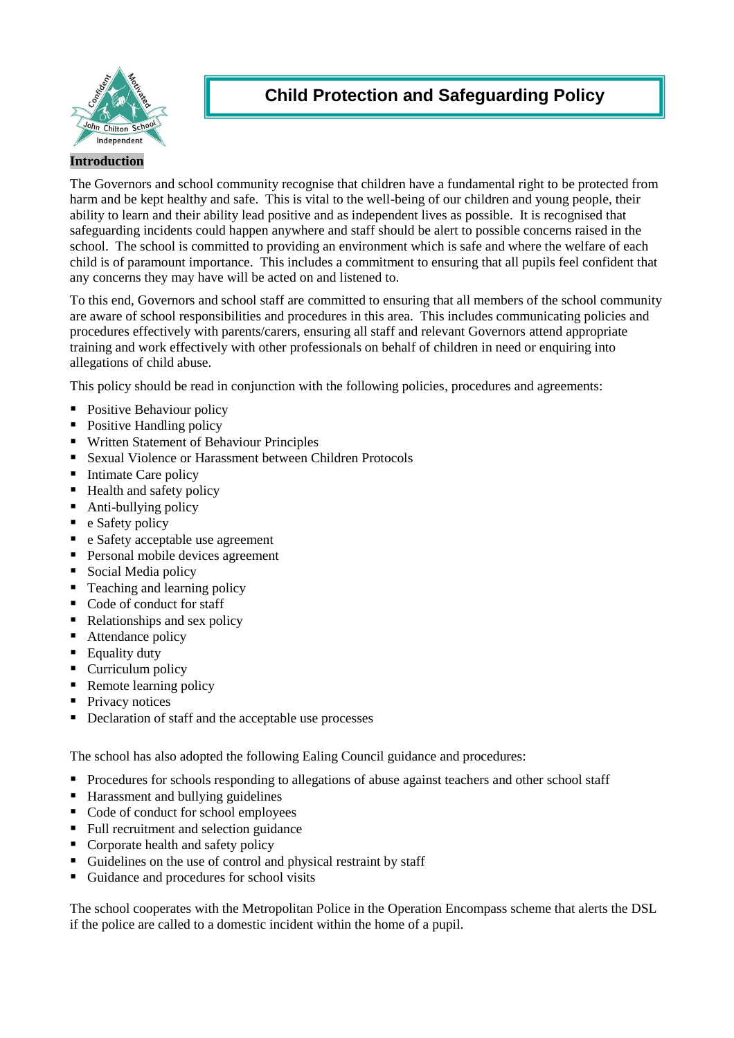

# **Child Protection and Safeguarding Policy**

## **Introduction**

The Governors and school community recognise that children have a fundamental right to be protected from harm and be kept healthy and safe. This is vital to the well-being of our children and young people, their ability to learn and their ability lead positive and as independent lives as possible. It is recognised that safeguarding incidents could happen anywhere and staff should be alert to possible concerns raised in the school. The school is committed to providing an environment which is safe and where the welfare of each child is of paramount importance. This includes a commitment to ensuring that all pupils feel confident that any concerns they may have will be acted on and listened to.

To this end, Governors and school staff are committed to ensuring that all members of the school community are aware of school responsibilities and procedures in this area. This includes communicating policies and procedures effectively with parents/carers, ensuring all staff and relevant Governors attend appropriate training and work effectively with other professionals on behalf of children in need or enquiring into allegations of child abuse.

This policy should be read in conjunction with the following policies, procedures and agreements:

- Positive Behaviour policy
- Positive Handling policy
- Written Statement of Behaviour Principles
- Sexual Violence or Harassment between Children Protocols
- Intimate Care policy
- Health and safety policy
- Anti-bullying policy
- $\blacksquare$  e Safety policy
- e Safety acceptable use agreement
- **Personal mobile devices agreement**
- Social Media policy
- Teaching and learning policy
- Code of conduct for staff
- $\blacksquare$  Relationships and sex policy
- Attendance policy
- Equality duty
- Curriculum policy
- Remote learning policy
- Privacy notices
- Declaration of staff and the acceptable use processes

The school has also adopted the following Ealing Council guidance and procedures:

- **Procedures for schools responding to allegations of abuse against teachers and other school staff**
- **Harassment and bullying guidelines**
- Code of conduct for school employees
- Full recruitment and selection guidance
- Corporate health and safety policy
- Guidelines on the use of control and physical restraint by staff
- Guidance and procedures for school visits

The school cooperates with the Metropolitan Police in the Operation Encompass scheme that alerts the DSL if the police are called to a domestic incident within the home of a pupil.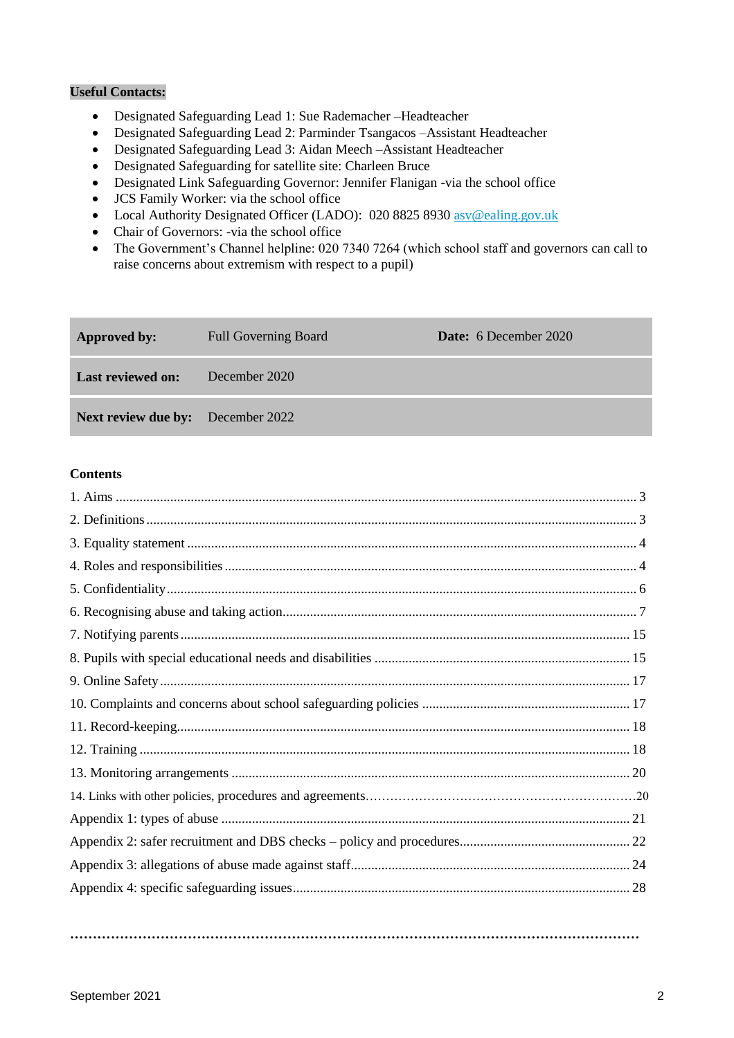## **Useful Contacts:**

- Designated Safeguarding Lead 1: Sue Rademacher –Headteacher
- Designated Safeguarding Lead 2: Parminder Tsangacos –Assistant Headteacher
- Designated Safeguarding Lead 3: Aidan Meech –Assistant Headteacher
- Designated Safeguarding for satellite site: Charleen Bruce
- Designated Link Safeguarding Governor: Jennifer Flanigan -via the school office
- JCS Family Worker: via the school office
- Local Authority Designated Officer (LADO): 020 8825 8930 [asv@ealing.gov.uk](mailto:asv@ealing.gov.uk)
- Chair of Governors: -via the school office
- The Government's Channel helpline: 020 7340 7264 (which school staff and governors can call to raise concerns about extremism with respect to a pupil)

| <b>Approved by:</b>                      | <b>Full Governing Board</b> | <b>Date:</b> 6 December 2020 |
|------------------------------------------|-----------------------------|------------------------------|
| <b>Last reviewed on:</b>                 | December 2020               |                              |
| <b>Next review due by:</b> December 2022 |                             |                              |

## **Contents**

**………………………………………………………………………………………………………………**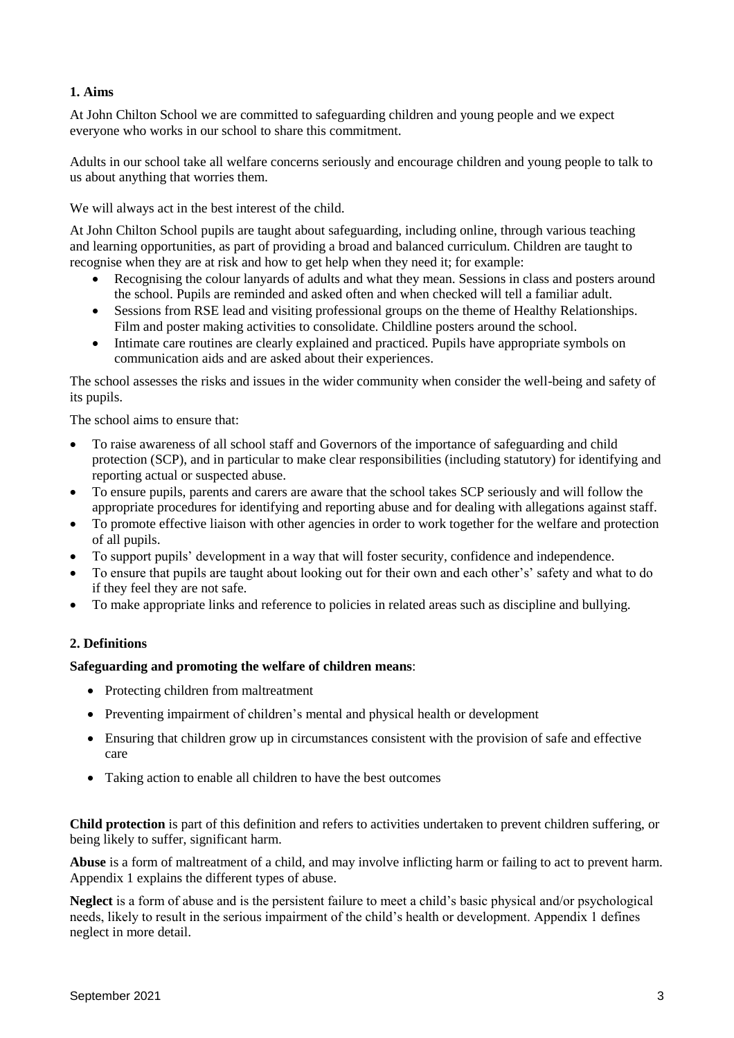## **1. Aims**

At John Chilton School we are committed to safeguarding children and young people and we expect everyone who works in our school to share this commitment.

Adults in our school take all welfare concerns seriously and encourage children and young people to talk to us about anything that worries them.

We will always act in the best interest of the child.

At John Chilton School pupils are taught about safeguarding, including online, through various teaching and learning opportunities, as part of providing a broad and balanced curriculum. Children are taught to recognise when they are at risk and how to get help when they need it; for example:

- Recognising the colour lanyards of adults and what they mean. Sessions in class and posters around the school. Pupils are reminded and asked often and when checked will tell a familiar adult.
- Sessions from RSE lead and visiting professional groups on the theme of Healthy Relationships. Film and poster making activities to consolidate. Childline posters around the school.
- Intimate care routines are clearly explained and practiced. Pupils have appropriate symbols on communication aids and are asked about their experiences.

The school assesses the risks and issues in the wider community when consider the well-being and safety of its pupils.

The school aims to ensure that:

- To raise awareness of all school staff and Governors of the importance of safeguarding and child protection (SCP), and in particular to make clear responsibilities (including statutory) for identifying and reporting actual or suspected abuse.
- To ensure pupils, parents and carers are aware that the school takes SCP seriously and will follow the appropriate procedures for identifying and reporting abuse and for dealing with allegations against staff.
- To promote effective liaison with other agencies in order to work together for the welfare and protection of all pupils.
- To support pupils' development in a way that will foster security, confidence and independence.
- To ensure that pupils are taught about looking out for their own and each other's' safety and what to do if they feel they are not safe.
- To make appropriate links and reference to policies in related areas such as discipline and bullying.

## **2. Definitions**

#### **Safeguarding and promoting the welfare of children means**:

- Protecting children from maltreatment
- Preventing impairment of children's mental and physical health or development
- Ensuring that children grow up in circumstances consistent with the provision of safe and effective care
- Taking action to enable all children to have the best outcomes

**Child protection** is part of this definition and refers to activities undertaken to prevent children suffering, or being likely to suffer, significant harm.

**Abuse** is a form of maltreatment of a child, and may involve inflicting harm or failing to act to prevent harm. Appendix 1 explains the different types of abuse.

**Neglect** is a form of abuse and is the persistent failure to meet a child's basic physical and/or psychological needs, likely to result in the serious impairment of the child's health or development. Appendix 1 defines neglect in more detail.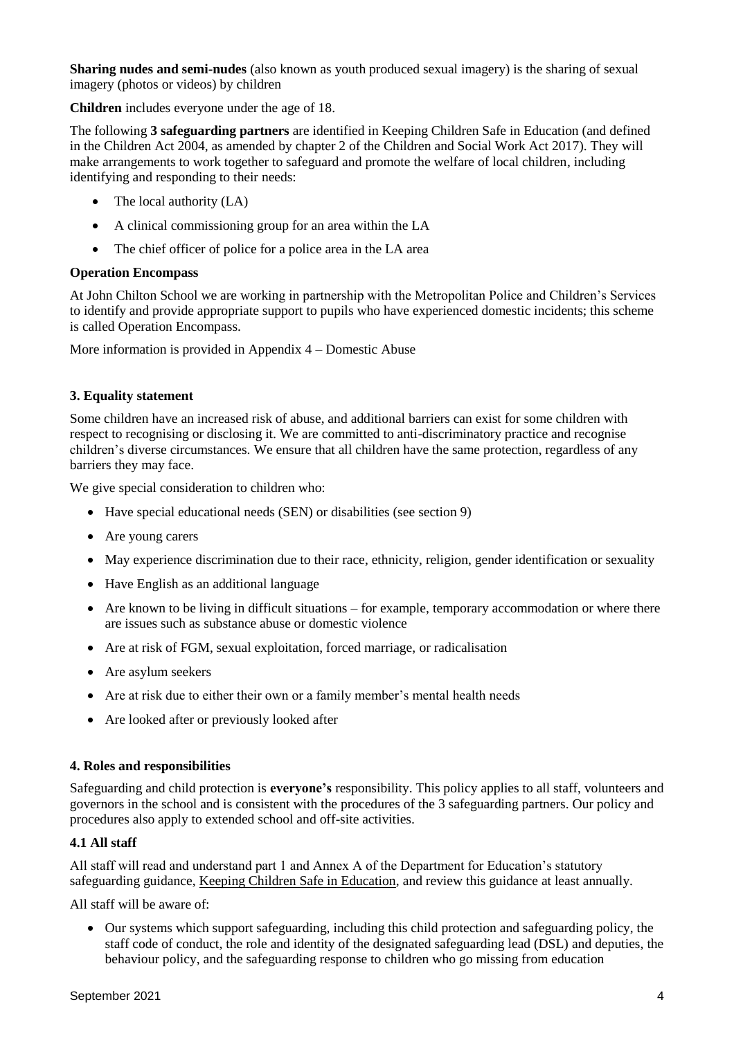**Sharing nudes and semi-nudes** (also known as youth produced sexual imagery) is the sharing of sexual imagery (photos or videos) by children

**Children** includes everyone under the age of 18.

The following **3 safeguarding partners** are identified in Keeping Children Safe in Education (and defined in the Children Act 2004, as amended by chapter 2 of the Children and Social Work Act 2017). They will make arrangements to work together to safeguard and promote the welfare of local children, including identifying and responding to their needs:

- The local authority (LA)
- A clinical commissioning group for an area within the LA
- The chief officer of police for a police area in the LA area

## **Operation Encompass**

At John Chilton School we are working in partnership with the Metropolitan Police and Children's Services to identify and provide appropriate support to pupils who have experienced domestic incidents; this scheme is called Operation Encompass.

More information is provided in Appendix 4 – Domestic Abuse

## **3. Equality statement**

Some children have an increased risk of abuse, and additional barriers can exist for some children with respect to recognising or disclosing it. We are committed to anti-discriminatory practice and recognise children's diverse circumstances. We ensure that all children have the same protection, regardless of any barriers they may face.

We give special consideration to children who:

- Have special educational needs (SEN) or disabilities (see section 9)
- Are young carers
- May experience discrimination due to their race, ethnicity, religion, gender identification or sexuality
- Have English as an additional language
- Are known to be living in difficult situations for example, temporary accommodation or where there are issues such as substance abuse or domestic violence
- Are at risk of FGM, sexual exploitation, forced marriage, or radicalisation
- Are asylum seekers
- Are at risk due to either their own or a family member's mental health needs
- Are looked after or previously looked after

#### **4. Roles and responsibilities**

Safeguarding and child protection is **everyone's** responsibility. This policy applies to all staff, volunteers and governors in the school and is consistent with the procedures of the 3 safeguarding partners. Our policy and procedures also apply to extended school and off-site activities.

## **4.1 All staff**

All staff will read and understand part 1 and Annex A of the Department for Education's statutory safeguarding guidance, [Keeping Children Safe in Education,](https://www.gov.uk/government/publications/keeping-children-safe-in-education--2) and review this guidance at least annually.

All staff will be aware of:

 Our systems which support safeguarding, including this child protection and safeguarding policy, the staff code of conduct, the role and identity of the designated safeguarding lead (DSL) and deputies, the behaviour policy, and the safeguarding response to children who go missing from education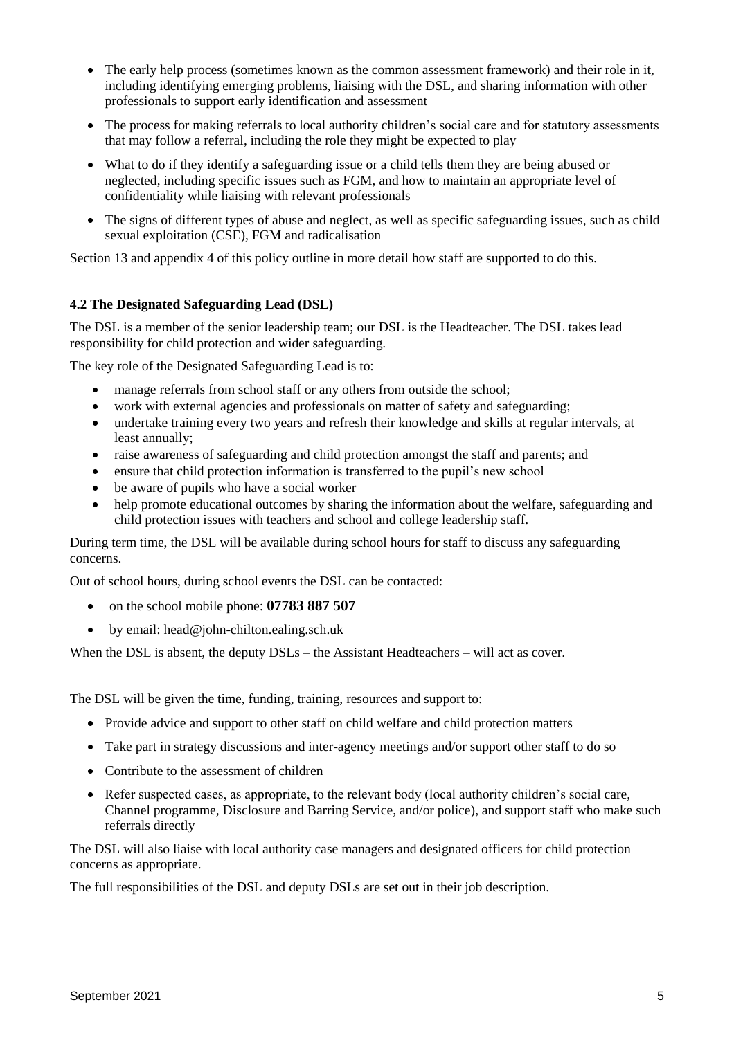- The early help process (sometimes known as the common assessment framework) and their role in it, including identifying emerging problems, liaising with the DSL, and sharing information with other professionals to support early identification and assessment
- The process for making referrals to local authority children's social care and for statutory assessments that may follow a referral, including the role they might be expected to play
- What to do if they identify a safeguarding issue or a child tells them they are being abused or neglected, including specific issues such as FGM, and how to maintain an appropriate level of confidentiality while liaising with relevant professionals
- The signs of different types of abuse and neglect, as well as specific safeguarding issues, such as child sexual exploitation (CSE), FGM and radicalisation

Section 13 and appendix 4 of this policy outline in more detail how staff are supported to do this.

## **4.2 The Designated Safeguarding Lead (DSL)**

The DSL is a member of the senior leadership team; our DSL is the Headteacher. The DSL takes lead responsibility for child protection and wider safeguarding.

The key role of the Designated Safeguarding Lead is to:

- manage referrals from school staff or any others from outside the school;
- work with external agencies and professionals on matter of safety and safeguarding;
- undertake training every two years and refresh their knowledge and skills at regular intervals, at least annually;
- raise awareness of safeguarding and child protection amongst the staff and parents; and
- ensure that child protection information is transferred to the pupil's new school
- be aware of pupils who have a social worker
- help promote educational outcomes by sharing the information about the welfare, safeguarding and child protection issues with teachers and school and college leadership staff.

During term time, the DSL will be available during school hours for staff to discuss any safeguarding concerns.

Out of school hours, during school events the DSL can be contacted:

- on the school mobile phone: **07783 887 507**
- $\bullet$  by email: head@john-chilton.ealing.sch.uk

When the DSL is absent, the deputy DSLs – the Assistant Headteachers – will act as cover.

The DSL will be given the time, funding, training, resources and support to:

- Provide advice and support to other staff on child welfare and child protection matters
- Take part in strategy discussions and inter-agency meetings and/or support other staff to do so
- Contribute to the assessment of children
- Refer suspected cases, as appropriate, to the relevant body (local authority children's social care, Channel programme, Disclosure and Barring Service, and/or police), and support staff who make such referrals directly

The DSL will also liaise with local authority case managers and designated officers for child protection concerns as appropriate.

The full responsibilities of the DSL and deputy DSLs are set out in their job description.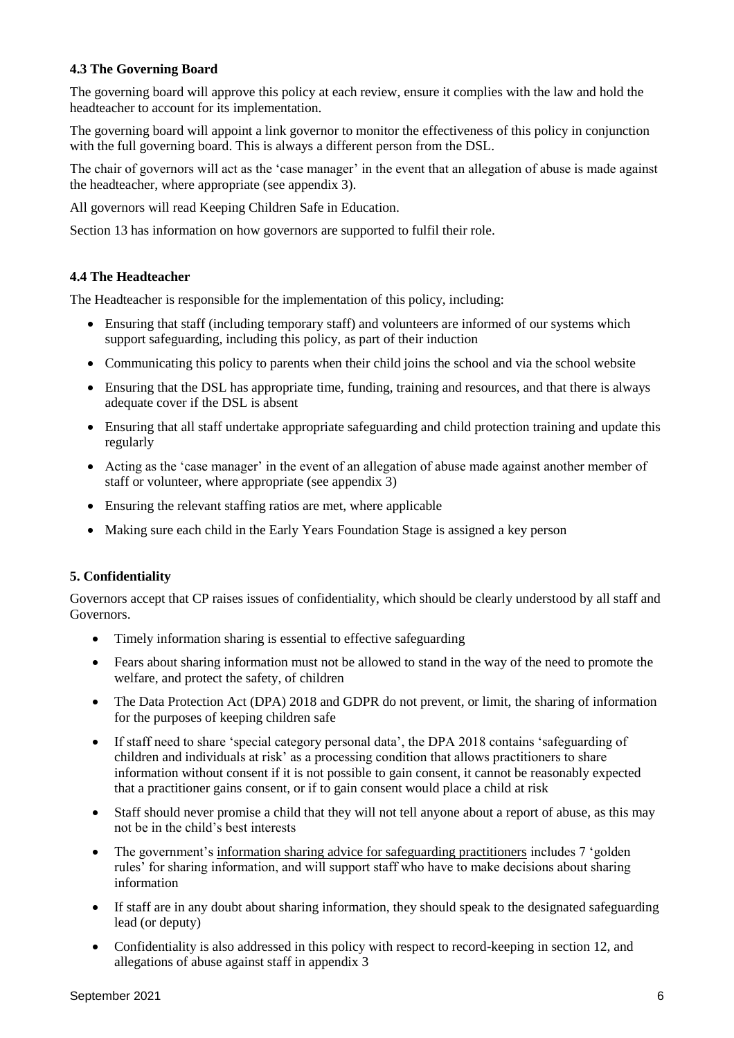## **4.3 The Governing Board**

The governing board will approve this policy at each review, ensure it complies with the law and hold the headteacher to account for its implementation.

The governing board will appoint a link governor to monitor the effectiveness of this policy in conjunction with the full governing board. This is always a different person from the DSL.

The chair of governors will act as the 'case manager' in the event that an allegation of abuse is made against the headteacher, where appropriate (see appendix 3).

All governors will read Keeping Children Safe in Education.

Section 13 has information on how governors are supported to fulfil their role.

## **4.4 The Headteacher**

The Headteacher is responsible for the implementation of this policy, including:

- Ensuring that staff (including temporary staff) and volunteers are informed of our systems which support safeguarding, including this policy, as part of their induction
- Communicating this policy to parents when their child joins the school and via the school website
- Ensuring that the DSL has appropriate time, funding, training and resources, and that there is always adequate cover if the DSL is absent
- Ensuring that all staff undertake appropriate safeguarding and child protection training and update this regularly
- Acting as the 'case manager' in the event of an allegation of abuse made against another member of staff or volunteer, where appropriate (see appendix 3)
- Ensuring the relevant staffing ratios are met, where applicable
- Making sure each child in the Early Years Foundation Stage is assigned a key person

## **5. Confidentiality**

Governors accept that CP raises issues of confidentiality, which should be clearly understood by all staff and Governors.

- Timely information sharing is essential to effective safeguarding
- Fears about sharing information must not be allowed to stand in the way of the need to promote the welfare, and protect the safety, of children
- The Data Protection Act (DPA) 2018 and GDPR do not prevent, or limit, the sharing of information for the purposes of keeping children safe
- If staff need to share 'special category personal data', the DPA 2018 contains 'safeguarding of children and individuals at risk' as a processing condition that allows practitioners to share information without consent if it is not possible to gain consent, it cannot be reasonably expected that a practitioner gains consent, or if to gain consent would place a child at risk
- Staff should never promise a child that they will not tell anyone about a report of abuse, as this may not be in the child's best interests
- The government's [information sharing advice for safeguarding practitioners](https://www.gov.uk/government/publications/safeguarding-practitioners-information-sharing-advice) includes 7 'golden rules' for sharing information, and will support staff who have to make decisions about sharing information
- If staff are in any doubt about sharing information, they should speak to the designated safeguarding lead (or deputy)
- Confidentiality is also addressed in this policy with respect to record-keeping in section 12, and allegations of abuse against staff in appendix 3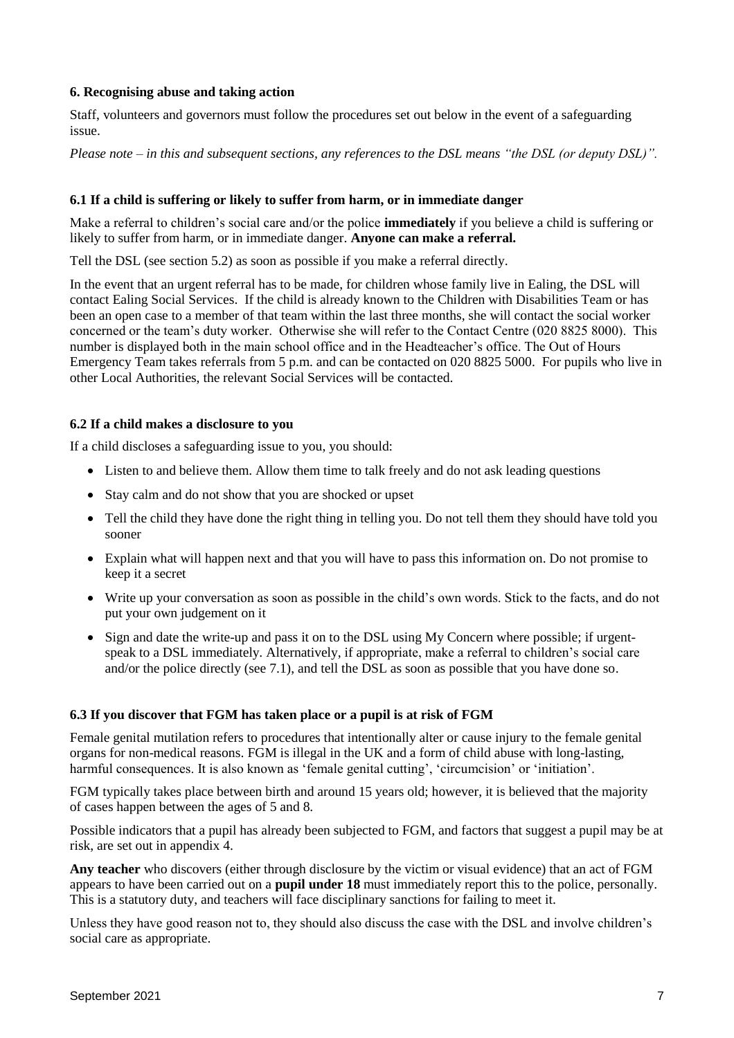## **6. Recognising abuse and taking action**

Staff, volunteers and governors must follow the procedures set out below in the event of a safeguarding issue.

*Please note – in this and subsequent sections, any references to the DSL means "the DSL (or deputy DSL)".*

## **6.1 If a child is suffering or likely to suffer from harm, or in immediate danger**

Make a referral to children's social care and/or the police **immediately** if you believe a child is suffering or likely to suffer from harm, or in immediate danger. **Anyone can make a referral.**

Tell the DSL (see section 5.2) as soon as possible if you make a referral directly.

In the event that an urgent referral has to be made, for children whose family live in Ealing, the DSL will contact Ealing Social Services. If the child is already known to the Children with Disabilities Team or has been an open case to a member of that team within the last three months, she will contact the social worker concerned or the team's duty worker. Otherwise she will refer to the Contact Centre (020 8825 8000). This number is displayed both in the main school office and in the Headteacher's office. The Out of Hours Emergency Team takes referrals from 5 p.m. and can be contacted on 020 8825 5000. For pupils who live in other Local Authorities, the relevant Social Services will be contacted.

## **6.2 If a child makes a disclosure to you**

If a child discloses a safeguarding issue to you, you should:

- Listen to and believe them. Allow them time to talk freely and do not ask leading questions
- Stay calm and do not show that you are shocked or upset
- Tell the child they have done the right thing in telling you. Do not tell them they should have told you sooner
- Explain what will happen next and that you will have to pass this information on. Do not promise to keep it a secret
- Write up your conversation as soon as possible in the child's own words. Stick to the facts, and do not put your own judgement on it
- Sign and date the write-up and pass it on to the DSL using My Concern where possible; if urgentspeak to a DSL immediately. Alternatively, if appropriate, make a referral to children's social care and/or the police directly (see 7.1), and tell the DSL as soon as possible that you have done so.

#### **6.3 If you discover that FGM has taken place or a pupil is at risk of FGM**

Female genital mutilation refers to procedures that intentionally alter or cause injury to the female genital organs for non-medical reasons. FGM is illegal in the UK and a form of child abuse with long-lasting, harmful consequences. It is also known as 'female genital cutting', 'circumcision' or 'initiation'.

FGM typically takes place between birth and around 15 years old; however, it is believed that the majority of cases happen between the ages of 5 and 8.

Possible indicators that a pupil has already been subjected to FGM, and factors that suggest a pupil may be at risk, are set out in appendix 4.

**Any teacher** who discovers (either through disclosure by the victim or visual evidence) that an act of FGM appears to have been carried out on a **pupil under 18** must immediately report this to the police, personally. This is a statutory duty, and teachers will face disciplinary sanctions for failing to meet it.

Unless they have good reason not to, they should also discuss the case with the DSL and involve children's social care as appropriate.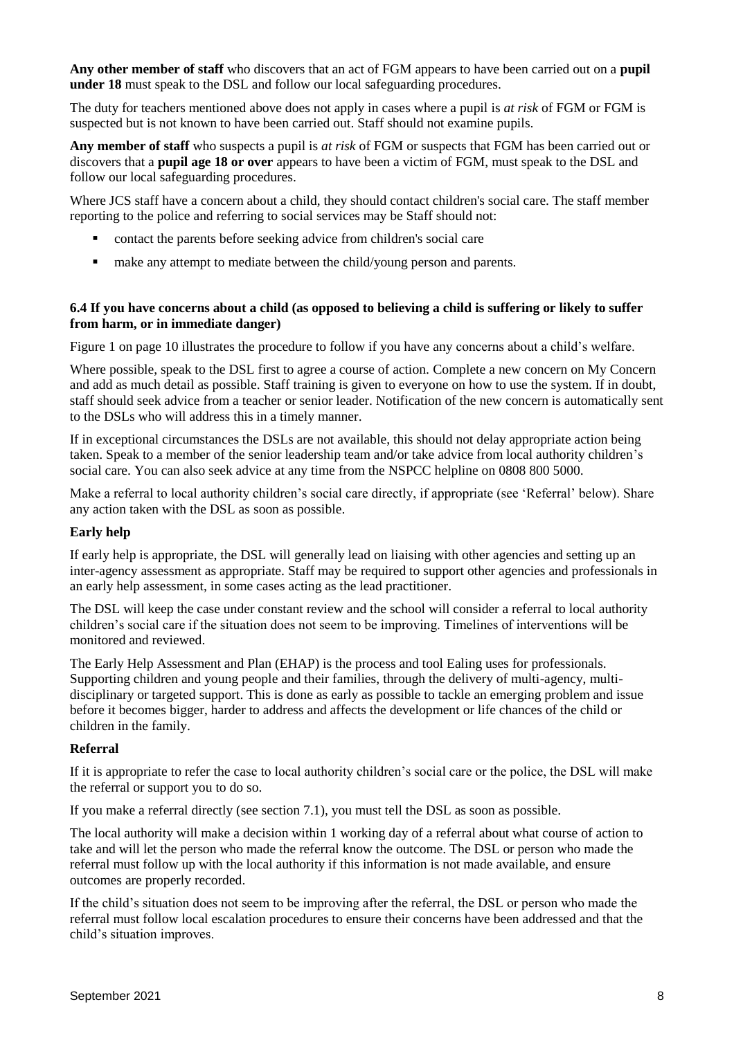**Any other member of staff** who discovers that an act of FGM appears to have been carried out on a **pupil under 18** must speak to the DSL and follow our local safeguarding procedures.

The duty for teachers mentioned above does not apply in cases where a pupil is *at risk* of FGM or FGM is suspected but is not known to have been carried out. Staff should not examine pupils.

**Any member of staff** who suspects a pupil is *at risk* of FGM or suspects that FGM has been carried out or discovers that a **pupil age 18 or over** appears to have been a victim of FGM, must speak to the DSL and follow our local safeguarding procedures.

Where JCS staff have a concern about a child, they should contact children's social care. The staff member reporting to the police and referring to social services may be Staff should not:

- contact the parents before seeking advice from children's social care
- $\blacksquare$  make any attempt to mediate between the child/young person and parents.

## **6.4 If you have concerns about a child (as opposed to believing a child is suffering or likely to suffer from harm, or in immediate danger)**

Figure 1 on page 10 illustrates the procedure to follow if you have any concerns about a child's welfare.

Where possible, speak to the DSL first to agree a course of action. Complete a new concern on My Concern and add as much detail as possible. Staff training is given to everyone on how to use the system. If in doubt, staff should seek advice from a teacher or senior leader. Notification of the new concern is automatically sent to the DSLs who will address this in a timely manner.

If in exceptional circumstances the DSLs are not available, this should not delay appropriate action being taken. Speak to a member of the senior leadership team and/or take advice from local authority children's social care. You can also seek advice at any time from the NSPCC helpline on 0808 800 5000.

Make a referral to local authority children's social care directly, if appropriate (see 'Referral' below). Share any action taken with the DSL as soon as possible.

#### **Early help**

If early help is appropriate, the DSL will generally lead on liaising with other agencies and setting up an inter-agency assessment as appropriate. Staff may be required to support other agencies and professionals in an early help assessment, in some cases acting as the lead practitioner.

The DSL will keep the case under constant review and the school will consider a referral to local authority children's social care if the situation does not seem to be improving. Timelines of interventions will be monitored and reviewed.

The Early Help Assessment and Plan (EHAP) is the process and tool Ealing uses for professionals. Supporting children and young people and their families, through the delivery of multi-agency, multidisciplinary or targeted support. This is done as early as possible to tackle an emerging problem and issue before it becomes bigger, harder to address and affects the development or life chances of the child or children in the family.

#### **Referral**

If it is appropriate to refer the case to local authority children's social care or the police, the DSL will make the referral or support you to do so.

If you make a referral directly (see section 7.1), you must tell the DSL as soon as possible.

The local authority will make a decision within 1 working day of a referral about what course of action to take and will let the person who made the referral know the outcome. The DSL or person who made the referral must follow up with the local authority if this information is not made available, and ensure outcomes are properly recorded.

If the child's situation does not seem to be improving after the referral, the DSL or person who made the referral must follow local escalation procedures to ensure their concerns have been addressed and that the child's situation improves.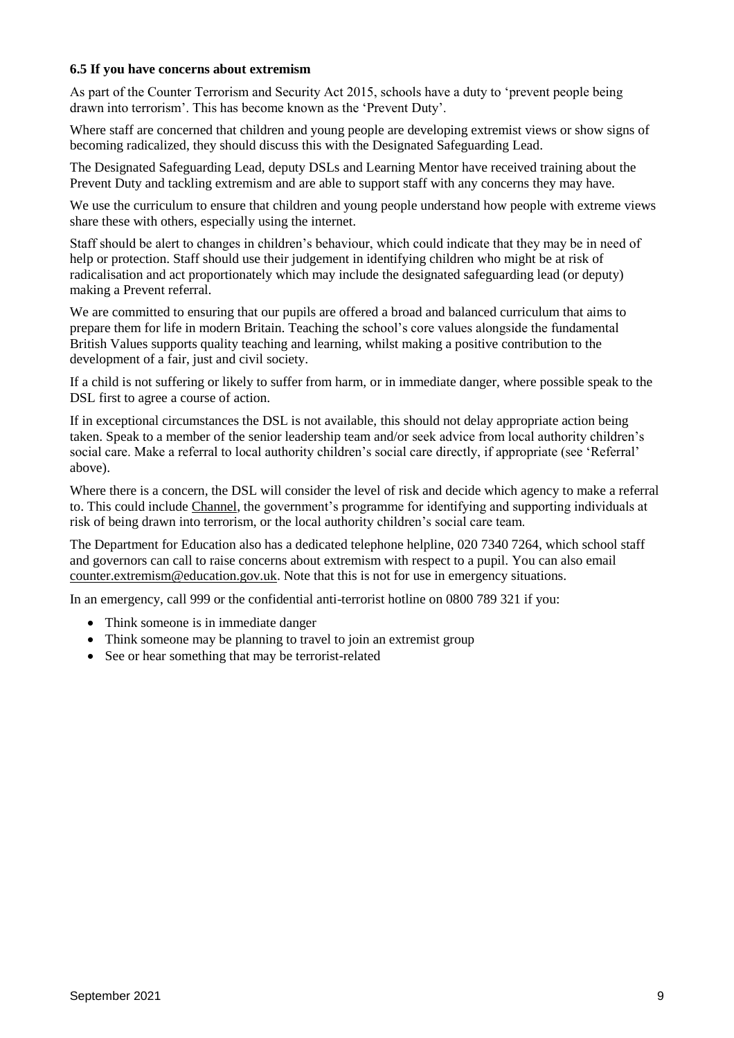#### **6.5 If you have concerns about extremism**

As part of the Counter Terrorism and Security Act 2015, schools have a duty to 'prevent people being drawn into terrorism'. This has become known as the 'Prevent Duty'.

Where staff are concerned that children and young people are developing extremist views or show signs of becoming radicalized, they should discuss this with the Designated Safeguarding Lead.

The Designated Safeguarding Lead, deputy DSLs and Learning Mentor have received training about the Prevent Duty and tackling extremism and are able to support staff with any concerns they may have.

We use the curriculum to ensure that children and young people understand how people with extreme views share these with others, especially using the internet.

Staff should be alert to changes in children's behaviour, which could indicate that they may be in need of help or protection. Staff should use their judgement in identifying children who might be at risk of radicalisation and act proportionately which may include the designated safeguarding lead (or deputy) making a Prevent referral.

We are committed to ensuring that our pupils are offered a broad and balanced curriculum that aims to prepare them for life in modern Britain. Teaching the school's core values alongside the fundamental British Values supports quality teaching and learning, whilst making a positive contribution to the development of a fair, just and civil society.

If a child is not suffering or likely to suffer from harm, or in immediate danger, where possible speak to the DSL first to agree a course of action.

If in exceptional circumstances the DSL is not available, this should not delay appropriate action being taken. Speak to a member of the senior leadership team and/or seek advice from local authority children's social care. Make a referral to local authority children's social care directly, if appropriate (see 'Referral' above).

Where there is a concern, the DSL will consider the level of risk and decide which agency to make a referral to. This could include [Channel,](https://www.gov.uk/government/publications/channel-guidance) the government's programme for identifying and supporting individuals at risk of being drawn into terrorism, or the local authority children's social care team.

The Department for Education also has a dedicated telephone helpline, 020 7340 7264, which school staff and governors can call to raise concerns about extremism with respect to a pupil. You can also email [counter.extremism@education.gov.uk.](mailto:counter.extremism@education.gov.uk) Note that this is not for use in emergency situations.

In an emergency, call 999 or the confidential anti-terrorist hotline on 0800 789 321 if you:

- Think someone is in immediate danger
- Think someone may be planning to travel to join an extremist group
- See or hear something that may be terrorist-related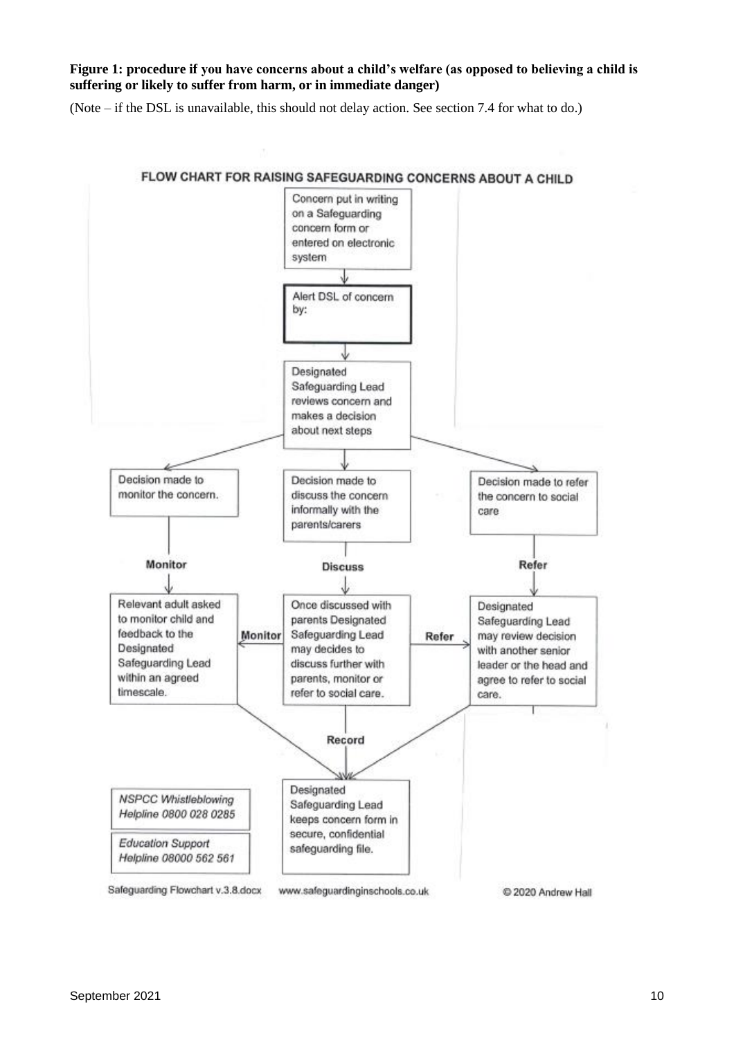**Figure 1: procedure if you have concerns about a child's welfare (as opposed to believing a child is suffering or likely to suffer from harm, or in immediate danger)**

(Note – if the DSL is unavailable, this should not delay action. See section 7.4 for what to do.)

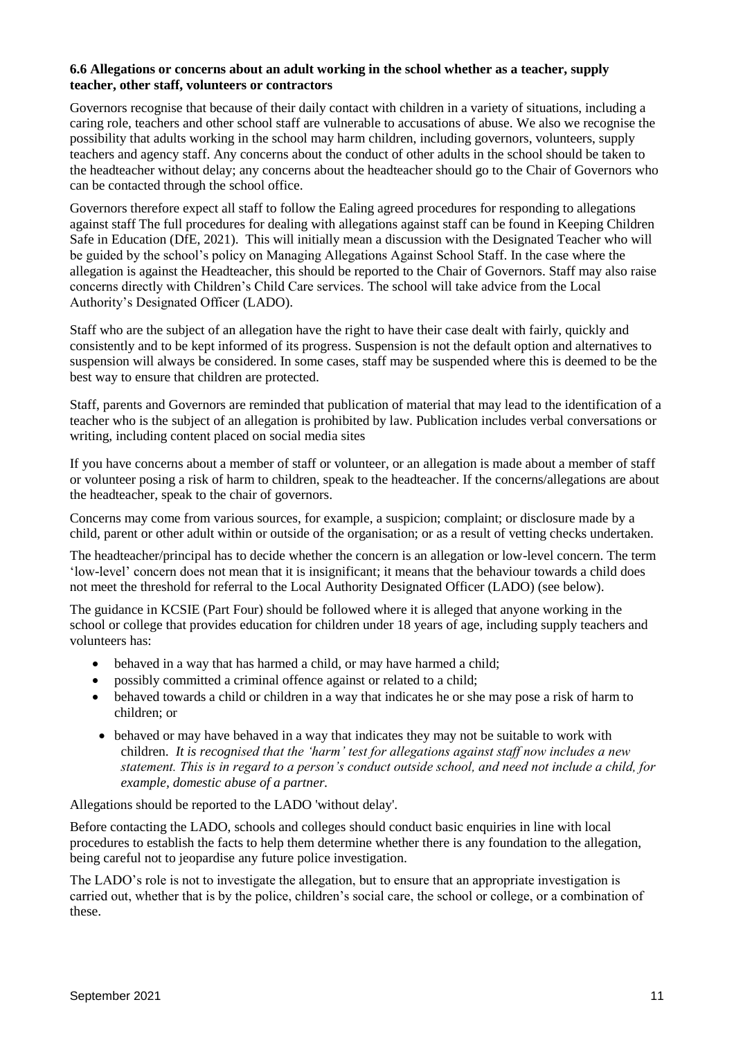#### **6.6 Allegations or concerns about an adult working in the school whether as a teacher, supply teacher, other staff, volunteers or contractors**

Governors recognise that because of their daily contact with children in a variety of situations, including a caring role, teachers and other school staff are vulnerable to accusations of abuse. We also we recognise the possibility that adults working in the school may harm children, including governors, volunteers, supply teachers and agency staff. Any concerns about the conduct of other adults in the school should be taken to the headteacher without delay; any concerns about the headteacher should go to the Chair of Governors who can be contacted through the school office.

Governors therefore expect all staff to follow the Ealing agreed procedures for responding to allegations against staff The full procedures for dealing with allegations against staff can be found in Keeping Children Safe in Education (DfE, 2021). This will initially mean a discussion with the Designated Teacher who will be guided by the school's policy on Managing Allegations Against School Staff. In the case where the allegation is against the Headteacher, this should be reported to the Chair of Governors. Staff may also raise concerns directly with Children's Child Care services. The school will take advice from the Local Authority's Designated Officer (LADO).

Staff who are the subject of an allegation have the right to have their case dealt with fairly, quickly and consistently and to be kept informed of its progress. Suspension is not the default option and alternatives to suspension will always be considered. In some cases, staff may be suspended where this is deemed to be the best way to ensure that children are protected.

Staff, parents and Governors are reminded that publication of material that may lead to the identification of a teacher who is the subject of an allegation is prohibited by law. Publication includes verbal conversations or writing, including content placed on social media sites

If you have concerns about a member of staff or volunteer, or an allegation is made about a member of staff or volunteer posing a risk of harm to children, speak to the headteacher. If the concerns/allegations are about the headteacher, speak to the chair of governors.

Concerns may come from various sources, for example, a suspicion; complaint; or disclosure made by a child, parent or other adult within or outside of the organisation; or as a result of vetting checks undertaken.

The headteacher/principal has to decide whether the concern is an allegation or low-level concern. The term 'low-level' concern does not mean that it is insignificant; it means that the behaviour towards a child does not meet the threshold for referral to the Local Authority Designated Officer (LADO) (see below).

The guidance in KCSIE (Part Four) should be followed where it is alleged that anyone working in the school or college that provides education for children under 18 years of age, including supply teachers and volunteers has:

- behaved in a way that has harmed a child, or may have harmed a child;
- possibly committed a criminal offence against or related to a child;
- behaved towards a child or children in a way that indicates he or she may pose a risk of harm to children; or
- behaved or may have behaved in a way that indicates they may not be suitable to work with children. *It is recognised that the 'harm' test for allegations against staff now includes a new statement. This is in regard to a person's conduct outside school, and need not include a child, for example, domestic abuse of a partner.*

Allegations should be reported to the LADO 'without delay'.

Before contacting the LADO, schools and colleges should conduct basic enquiries in line with local procedures to establish the facts to help them determine whether there is any foundation to the allegation, being careful not to jeopardise any future police investigation.

The LADO's role is not to investigate the allegation, but to ensure that an appropriate investigation is carried out, whether that is by the police, children's social care, the school or college, or a combination of these.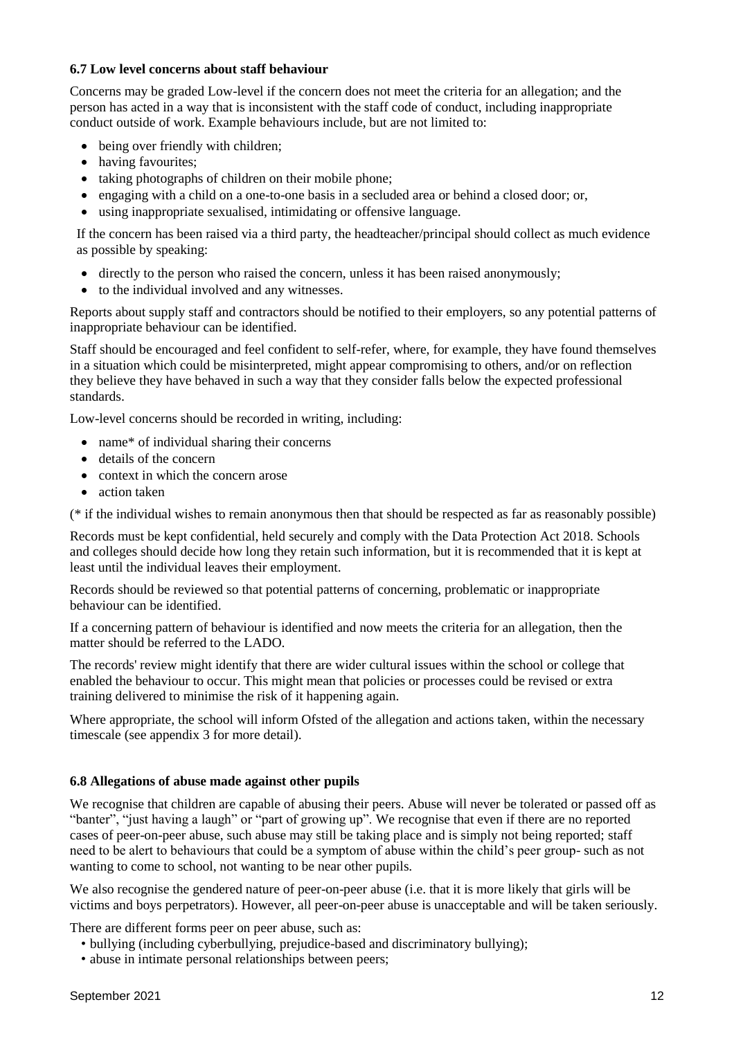## **6.7 Low level concerns about staff behaviour**

Concerns may be graded Low-level if the concern does not meet the criteria for an allegation; and the person has acted in a way that is inconsistent with the staff code of conduct, including inappropriate conduct outside of work. Example behaviours include, but are not limited to:

- being over friendly with children;
- having favourites;
- taking photographs of children on their mobile phone;
- engaging with a child on a one-to-one basis in a secluded area or behind a closed door; or,
- using inappropriate sexualised, intimidating or offensive language.

If the concern has been raised via a third party, the headteacher/principal should collect as much evidence as possible by speaking:

- directly to the person who raised the concern, unless it has been raised anonymously;
- to the individual involved and any witnesses.

Reports about supply staff and contractors should be notified to their employers, so any potential patterns of inappropriate behaviour can be identified.

Staff should be encouraged and feel confident to self-refer, where, for example, they have found themselves in a situation which could be misinterpreted, might appear compromising to others, and/or on reflection they believe they have behaved in such a way that they consider falls below the expected professional standards.

Low-level concerns should be recorded in writing, including:

- name\* of individual sharing their concerns
- details of the concern
- context in which the concern arose
- action taken

(\* if the individual wishes to remain anonymous then that should be respected as far as reasonably possible)

Records must be kept confidential, held securely and comply with the Data Protection Act 2018. Schools and colleges should decide how long they retain such information, but it is recommended that it is kept at least until the individual leaves their employment.

Records should be reviewed so that potential patterns of concerning, problematic or inappropriate behaviour can be identified.

If a concerning pattern of behaviour is identified and now meets the criteria for an allegation, then the matter should be referred to the LADO.

The records' review might identify that there are wider cultural issues within the school or college that enabled the behaviour to occur. This might mean that policies or processes could be revised or extra training delivered to minimise the risk of it happening again.

Where appropriate, the school will inform Ofsted of the allegation and actions taken, within the necessary timescale (see appendix 3 for more detail).

## **6.8 Allegations of abuse made against other pupils**

We recognise that children are capable of abusing their peers. Abuse will never be tolerated or passed off as "banter", "just having a laugh" or "part of growing up". We recognise that even if there are no reported cases of peer-on-peer abuse, such abuse may still be taking place and is simply not being reported; staff need to be alert to behaviours that could be a symptom of abuse within the child's peer group- such as not wanting to come to school, not wanting to be near other pupils.

We also recognise the gendered nature of peer-on-peer abuse (i.e. that it is more likely that girls will be victims and boys perpetrators). However, all peer-on-peer abuse is unacceptable and will be taken seriously.

There are different forms peer on peer abuse, such as:

- bullying (including cyberbullying, prejudice-based and discriminatory bullying);
- abuse in intimate personal relationships between peers;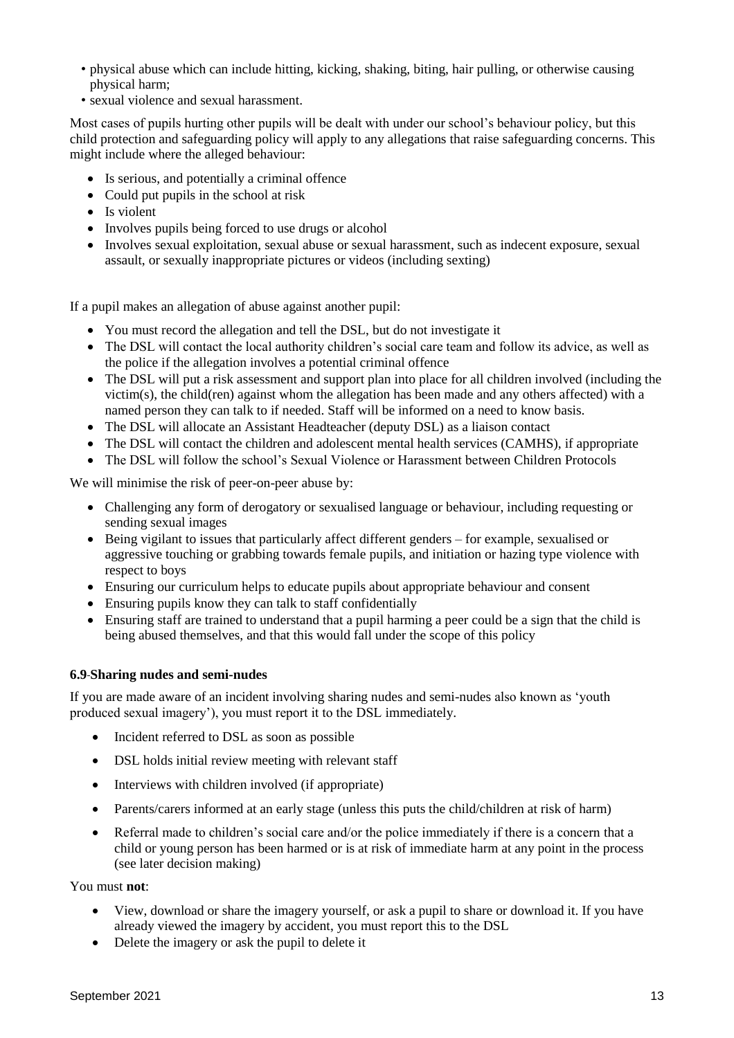- physical abuse which can include hitting, kicking, shaking, biting, hair pulling, or otherwise causing physical harm;
- sexual violence and sexual harassment.

Most cases of pupils hurting other pupils will be dealt with under our school's behaviour policy, but this child protection and safeguarding policy will apply to any allegations that raise safeguarding concerns. This might include where the alleged behaviour:

- Is serious, and potentially a criminal offence
- Could put pupils in the school at risk
- Is violent
- Involves pupils being forced to use drugs or alcohol
- Involves sexual exploitation, sexual abuse or sexual harassment, such as indecent exposure, sexual assault, or sexually inappropriate pictures or videos (including sexting)

If a pupil makes an allegation of abuse against another pupil:

- You must record the allegation and tell the DSL, but do not investigate it
- The DSL will contact the local authority children's social care team and follow its advice, as well as the police if the allegation involves a potential criminal offence
- The DSL will put a risk assessment and support plan into place for all children involved (including the victim(s), the child(ren) against whom the allegation has been made and any others affected) with a named person they can talk to if needed. Staff will be informed on a need to know basis.
- The DSL will allocate an Assistant Headteacher (deputy DSL) as a liaison contact
- The DSL will contact the children and adolescent mental health services (CAMHS), if appropriate
- The DSL will follow the school's Sexual Violence or Harassment between Children Protocols

We will minimise the risk of peer-on-peer abuse by:

- Challenging any form of derogatory or sexualised language or behaviour, including requesting or sending sexual images
- Being vigilant to issues that particularly affect different genders for example, sexualised or aggressive touching or grabbing towards female pupils, and initiation or hazing type violence with respect to boys
- Ensuring our curriculum helps to educate pupils about appropriate behaviour and consent
- Ensuring pupils know they can talk to staff confidentially
- Ensuring staff are trained to understand that a pupil harming a peer could be a sign that the child is being abused themselves, and that this would fall under the scope of this policy

#### **6.9 Sharing nudes and semi-nudes**

If you are made aware of an incident involving sharing nudes and semi-nudes also known as 'youth produced sexual imagery'), you must report it to the DSL immediately.

- Incident referred to DSL as soon as possible
- DSL holds initial review meeting with relevant staff
- Interviews with children involved (if appropriate)
- Parents/carers informed at an early stage (unless this puts the child/children at risk of harm)
- Referral made to children's social care and/or the police immediately if there is a concern that a child or young person has been harmed or is at risk of immediate harm at any point in the process (see later decision making)

#### You must **not**:

- View, download or share the imagery yourself, or ask a pupil to share or download it. If you have already viewed the imagery by accident, you must report this to the DSL
- Delete the imagery or ask the pupil to delete it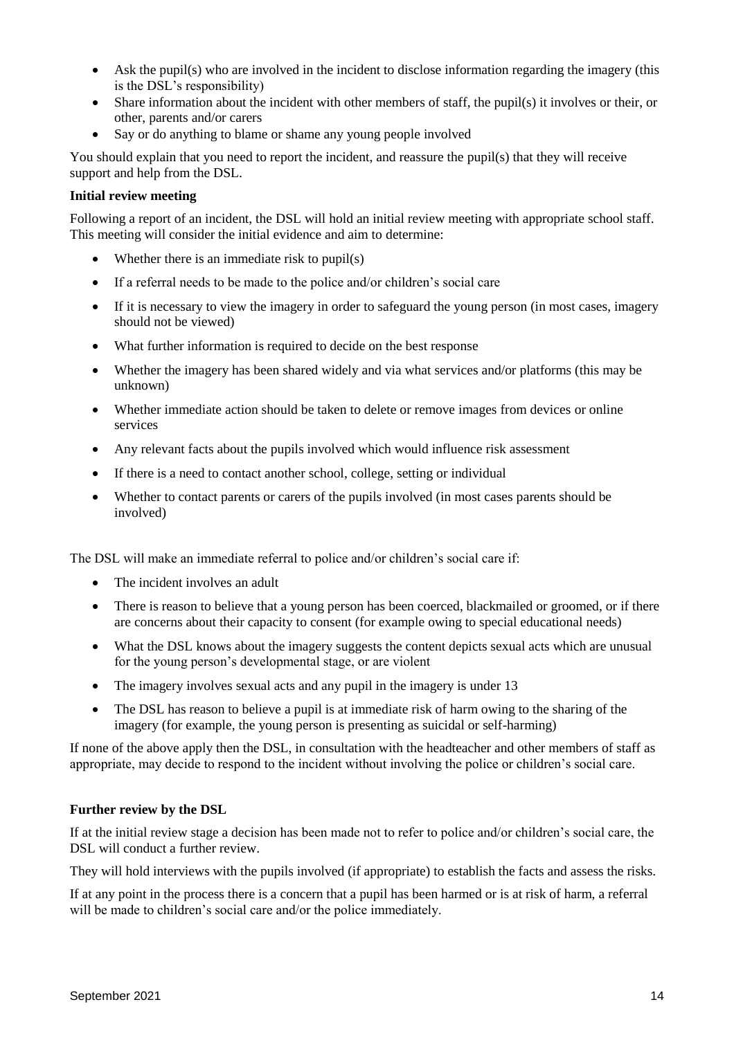- Ask the pupil(s) who are involved in the incident to disclose information regarding the imagery (this is the DSL's responsibility)
- Share information about the incident with other members of staff, the pupil(s) it involves or their, or other, parents and/or carers
- Say or do anything to blame or shame any young people involved

You should explain that you need to report the incident, and reassure the pupil(s) that they will receive support and help from the DSL.

## **Initial review meeting**

Following a report of an incident, the DSL will hold an initial review meeting with appropriate school staff. This meeting will consider the initial evidence and aim to determine:

- Whether there is an immediate risk to pupil(s)
- If a referral needs to be made to the police and/or children's social care
- If it is necessary to view the imagery in order to safeguard the young person (in most cases, imagery should not be viewed)
- What further information is required to decide on the best response
- Whether the imagery has been shared widely and via what services and/or platforms (this may be unknown)
- Whether immediate action should be taken to delete or remove images from devices or online services
- Any relevant facts about the pupils involved which would influence risk assessment
- If there is a need to contact another school, college, setting or individual
- Whether to contact parents or carers of the pupils involved (in most cases parents should be involved)

The DSL will make an immediate referral to police and/or children's social care if:

- The incident involves an adult
- There is reason to believe that a young person has been coerced, blackmailed or groomed, or if there are concerns about their capacity to consent (for example owing to special educational needs)
- What the DSL knows about the imagery suggests the content depicts sexual acts which are unusual for the young person's developmental stage, or are violent
- The imagery involves sexual acts and any pupil in the imagery is under 13
- The DSL has reason to believe a pupil is at immediate risk of harm owing to the sharing of the imagery (for example, the young person is presenting as suicidal or self-harming)

If none of the above apply then the DSL, in consultation with the headteacher and other members of staff as appropriate, may decide to respond to the incident without involving the police or children's social care.

#### **Further review by the DSL**

If at the initial review stage a decision has been made not to refer to police and/or children's social care, the DSL will conduct a further review.

They will hold interviews with the pupils involved (if appropriate) to establish the facts and assess the risks.

If at any point in the process there is a concern that a pupil has been harmed or is at risk of harm, a referral will be made to children's social care and/or the police immediately.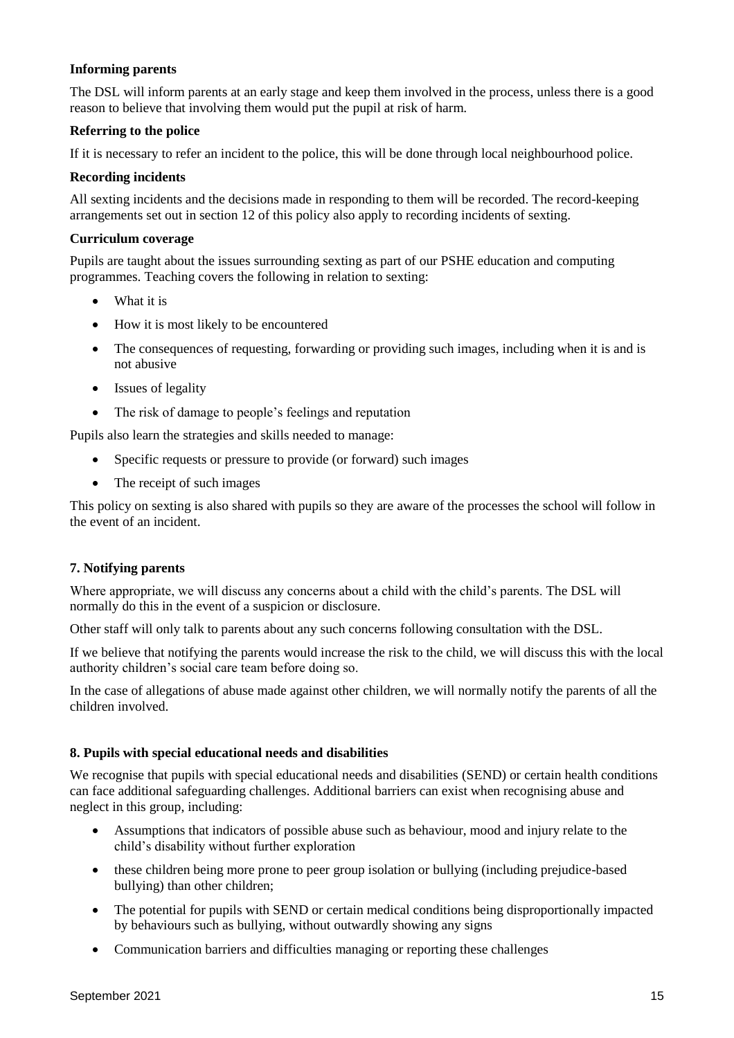## **Informing parents**

The DSL will inform parents at an early stage and keep them involved in the process, unless there is a good reason to believe that involving them would put the pupil at risk of harm.

## **Referring to the police**

If it is necessary to refer an incident to the police, this will be done through local neighbourhood police.

#### **Recording incidents**

All sexting incidents and the decisions made in responding to them will be recorded. The record-keeping arrangements set out in section 12 of this policy also apply to recording incidents of sexting.

## **Curriculum coverage**

Pupils are taught about the issues surrounding sexting as part of our PSHE education and computing programmes. Teaching covers the following in relation to sexting:

- What it is
- How it is most likely to be encountered
- The consequences of requesting, forwarding or providing such images, including when it is and is not abusive
- Issues of legality
- The risk of damage to people's feelings and reputation

Pupils also learn the strategies and skills needed to manage:

- Specific requests or pressure to provide (or forward) such images
- The receipt of such images

This policy on sexting is also shared with pupils so they are aware of the processes the school will follow in the event of an incident.

#### **7. Notifying parents**

Where appropriate, we will discuss any concerns about a child with the child's parents. The DSL will normally do this in the event of a suspicion or disclosure.

Other staff will only talk to parents about any such concerns following consultation with the DSL.

If we believe that notifying the parents would increase the risk to the child, we will discuss this with the local authority children's social care team before doing so.

In the case of allegations of abuse made against other children, we will normally notify the parents of all the children involved.

#### **8. Pupils with special educational needs and disabilities**

We recognise that pupils with special educational needs and disabilities (SEND) or certain health conditions can face additional safeguarding challenges. Additional barriers can exist when recognising abuse and neglect in this group, including:

- Assumptions that indicators of possible abuse such as behaviour, mood and injury relate to the child's disability without further exploration
- these children being more prone to peer group isolation or bullying (including prejudice-based bullying) than other children;
- The potential for pupils with SEND or certain medical conditions being disproportionally impacted by behaviours such as bullying, without outwardly showing any signs
- Communication barriers and difficulties managing or reporting these challenges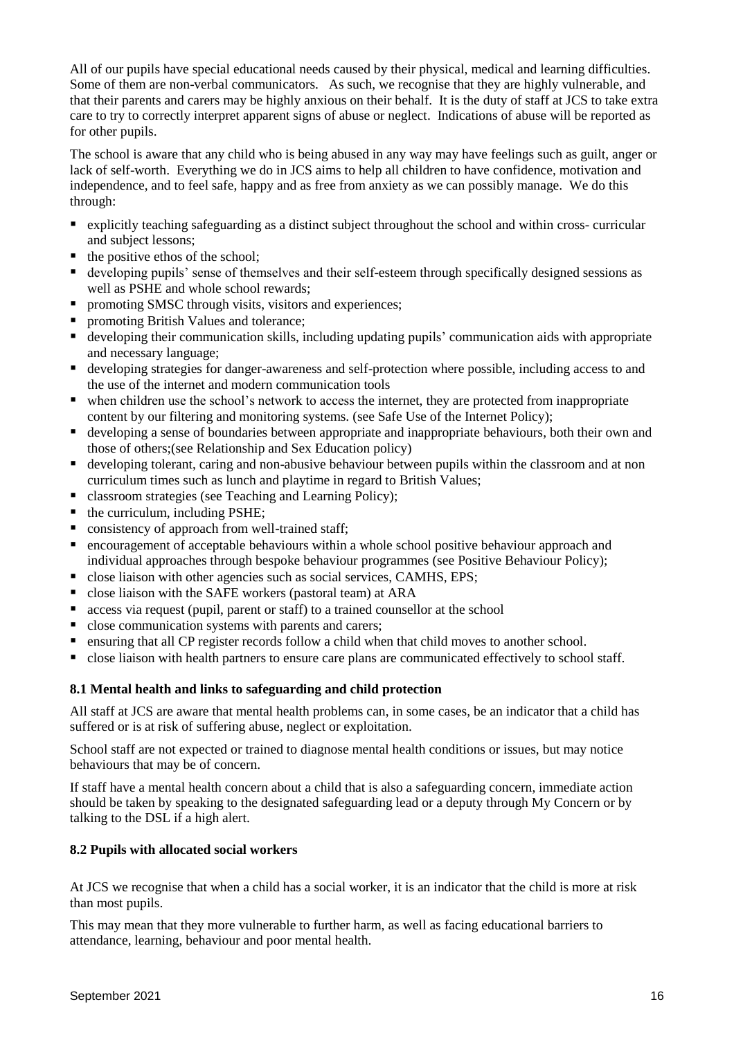All of our pupils have special educational needs caused by their physical, medical and learning difficulties. Some of them are non-verbal communicators. As such, we recognise that they are highly vulnerable, and that their parents and carers may be highly anxious on their behalf. It is the duty of staff at JCS to take extra care to try to correctly interpret apparent signs of abuse or neglect. Indications of abuse will be reported as for other pupils.

The school is aware that any child who is being abused in any way may have feelings such as guilt, anger or lack of self-worth. Everything we do in JCS aims to help all children to have confidence, motivation and independence, and to feel safe, happy and as free from anxiety as we can possibly manage. We do this through:

- explicitly teaching safeguarding as a distinct subject throughout the school and within cross- curricular and subject lessons;
- $\blacksquare$  the positive ethos of the school;
- developing pupils' sense of themselves and their self-esteem through specifically designed sessions as well as PSHE and whole school rewards;
- **P** promoting SMSC through visits, visitors and experiences;
- **Peromoting British Values and tolerance;**
- developing their communication skills, including updating pupils' communication aids with appropriate and necessary language;
- developing strategies for danger-awareness and self-protection where possible, including access to and the use of the internet and modern communication tools
- when children use the school's network to access the internet, they are protected from inappropriate content by our filtering and monitoring systems. (see Safe Use of the Internet Policy);
- developing a sense of boundaries between appropriate and inappropriate behaviours, both their own and those of others;(see Relationship and Sex Education policy)
- developing tolerant, caring and non-abusive behaviour between pupils within the classroom and at non curriculum times such as lunch and playtime in regard to British Values;
- classroom strategies (see Teaching and Learning Policy);
- $\blacksquare$  the curriculum, including PSHE;
- consistency of approach from well-trained staff;
- encouragement of acceptable behaviours within a whole school positive behaviour approach and individual approaches through bespoke behaviour programmes (see Positive Behaviour Policy);
- close liaison with other agencies such as social services, CAMHS, EPS;
- close liaison with the SAFE workers (pastoral team) at ARA
- access via request (pupil, parent or staff) to a trained counsellor at the school
- close communication systems with parents and carers;
- ensuring that all CP register records follow a child when that child moves to another school.
- close liaison with health partners to ensure care plans are communicated effectively to school staff.

## **8.1 Mental health and links to safeguarding and child protection**

All staff at JCS are aware that mental health problems can, in some cases, be an indicator that a child has suffered or is at risk of suffering abuse, neglect or exploitation.

School staff are not expected or trained to diagnose mental health conditions or issues, but may notice behaviours that may be of concern.

If staff have a mental health concern about a child that is also a safeguarding concern, immediate action should be taken by speaking to the designated safeguarding lead or a deputy through My Concern or by talking to the DSL if a high alert.

## **8.2 Pupils with allocated social workers**

At JCS we recognise that when a child has a social worker, it is an indicator that the child is more at risk than most pupils.

This may mean that they more vulnerable to further harm, as well as facing educational barriers to attendance, learning, behaviour and poor mental health.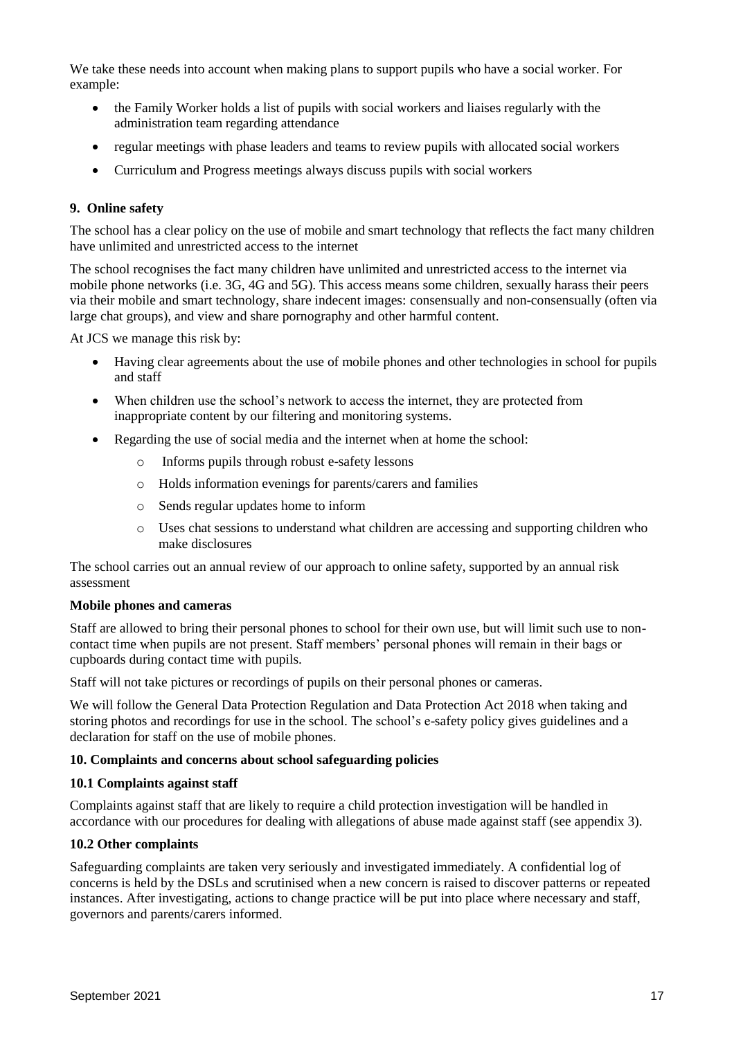We take these needs into account when making plans to support pupils who have a social worker. For example:

- the Family Worker holds a list of pupils with social workers and liaises regularly with the administration team regarding attendance
- regular meetings with phase leaders and teams to review pupils with allocated social workers
- Curriculum and Progress meetings always discuss pupils with social workers

## **9. Online safety**

The school has a clear policy on the use of mobile and smart technology that reflects the fact many children have unlimited and unrestricted access to the internet

The school recognises the fact many children have unlimited and unrestricted access to the internet via mobile phone networks (i.e. 3G, 4G and 5G). This access means some children, sexually harass their peers via their mobile and smart technology, share indecent images: consensually and non-consensually (often via large chat groups), and view and share pornography and other harmful content.

At JCS we manage this risk by:

- Having clear agreements about the use of mobile phones and other technologies in school for pupils and staff
- When children use the school's network to access the internet, they are protected from inappropriate content by our filtering and monitoring systems.
- Regarding the use of social media and the internet when at home the school:
	- o Informs pupils through robust e-safety lessons
	- o Holds information evenings for parents/carers and families
	- o Sends regular updates home to inform
	- o Uses chat sessions to understand what children are accessing and supporting children who make disclosures

The school carries out an annual review of our approach to online safety, supported by an annual risk assessment

#### **Mobile phones and cameras**

Staff are allowed to bring their personal phones to school for their own use, but will limit such use to noncontact time when pupils are not present. Staff members' personal phones will remain in their bags or cupboards during contact time with pupils.

Staff will not take pictures or recordings of pupils on their personal phones or cameras.

We will follow the General Data Protection Regulation and Data Protection Act 2018 when taking and storing photos and recordings for use in the school. The school's e-safety policy gives guidelines and a declaration for staff on the use of mobile phones.

#### **10. Complaints and concerns about school safeguarding policies**

#### **10.1 Complaints against staff**

Complaints against staff that are likely to require a child protection investigation will be handled in accordance with our procedures for dealing with allegations of abuse made against staff (see appendix 3).

## **10.2 Other complaints**

Safeguarding complaints are taken very seriously and investigated immediately. A confidential log of concerns is held by the DSLs and scrutinised when a new concern is raised to discover patterns or repeated instances. After investigating, actions to change practice will be put into place where necessary and staff, governors and parents/carers informed.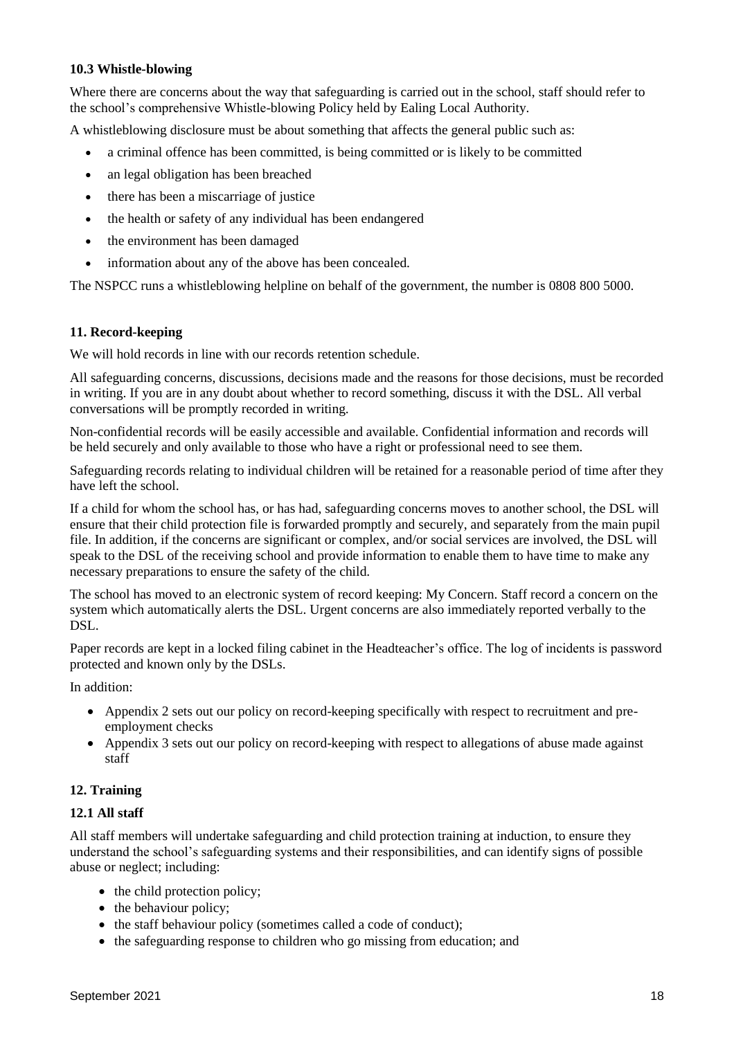## **10.3 Whistle-blowing**

Where there are concerns about the way that safeguarding is carried out in the school, staff should refer to the school's comprehensive Whistle-blowing Policy held by Ealing Local Authority.

A whistleblowing disclosure must be about something that affects the general public such as:

- a criminal offence has been committed, is being committed or is likely to be committed
- an legal obligation has been breached
- there has been a miscarriage of justice
- the health or safety of any individual has been endangered
- the environment has been damaged
- information about any of the above has been concealed.

The NSPCC runs a whistleblowing helpline on behalf of the government, the number is 0808 800 5000.

#### **11. Record-keeping**

We will hold records in line with our records retention schedule.

All safeguarding concerns, discussions, decisions made and the reasons for those decisions, must be recorded in writing. If you are in any doubt about whether to record something, discuss it with the DSL. All verbal conversations will be promptly recorded in writing.

Non-confidential records will be easily accessible and available. Confidential information and records will be held securely and only available to those who have a right or professional need to see them.

Safeguarding records relating to individual children will be retained for a reasonable period of time after they have left the school.

If a child for whom the school has, or has had, safeguarding concerns moves to another school, the DSL will ensure that their child protection file is forwarded promptly and securely, and separately from the main pupil file. In addition, if the concerns are significant or complex, and/or social services are involved, the DSL will speak to the DSL of the receiving school and provide information to enable them to have time to make any necessary preparations to ensure the safety of the child.

The school has moved to an electronic system of record keeping: My Concern. Staff record a concern on the system which automatically alerts the DSL. Urgent concerns are also immediately reported verbally to the DSL.

Paper records are kept in a locked filing cabinet in the Headteacher's office. The log of incidents is password protected and known only by the DSLs.

In addition:

- Appendix 2 sets out our policy on record-keeping specifically with respect to recruitment and preemployment checks
- Appendix 3 sets out our policy on record-keeping with respect to allegations of abuse made against staff

## **12. Training**

#### **12.1 All staff**

All staff members will undertake safeguarding and child protection training at induction, to ensure they understand the school's safeguarding systems and their responsibilities, and can identify signs of possible abuse or neglect; including:

- the child protection policy;
- the behaviour policy;
- $\bullet$  the staff behaviour policy (sometimes called a code of conduct);
- the safeguarding response to children who go missing from education; and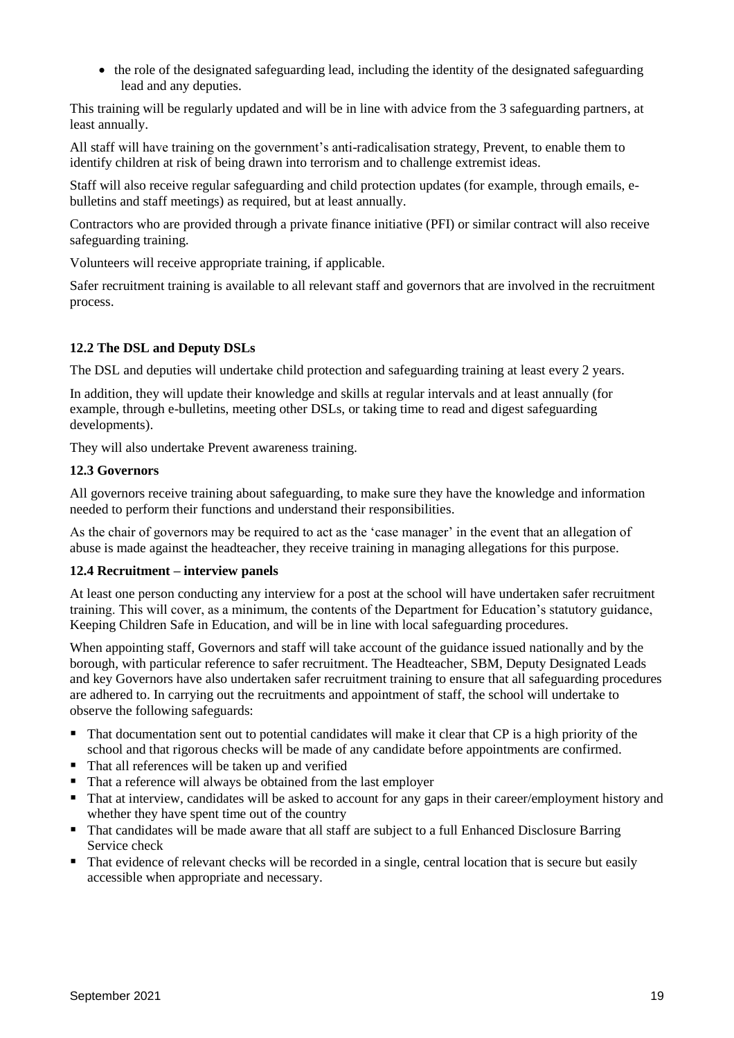the role of the designated safeguarding lead, including the identity of the designated safeguarding lead and any deputies.

This training will be regularly updated and will be in line with advice from the 3 safeguarding partners, at least annually.

All staff will have training on the government's anti-radicalisation strategy, Prevent, to enable them to identify children at risk of being drawn into terrorism and to challenge extremist ideas.

Staff will also receive regular safeguarding and child protection updates (for example, through emails, ebulletins and staff meetings) as required, but at least annually.

Contractors who are provided through a private finance initiative (PFI) or similar contract will also receive safeguarding training.

Volunteers will receive appropriate training, if applicable.

Safer recruitment training is available to all relevant staff and governors that are involved in the recruitment process.

## **12.2 The DSL and Deputy DSLs**

The DSL and deputies will undertake child protection and safeguarding training at least every 2 years.

In addition, they will update their knowledge and skills at regular intervals and at least annually (for example, through e-bulletins, meeting other DSLs, or taking time to read and digest safeguarding developments).

They will also undertake Prevent awareness training.

## **12.3 Governors**

All governors receive training about safeguarding, to make sure they have the knowledge and information needed to perform their functions and understand their responsibilities.

As the chair of governors may be required to act as the 'case manager' in the event that an allegation of abuse is made against the headteacher, they receive training in managing allegations for this purpose.

#### **12.4 Recruitment – interview panels**

At least one person conducting any interview for a post at the school will have undertaken safer recruitment training. This will cover, as a minimum, the contents of the Department for Education's statutory guidance, Keeping Children Safe in Education, and will be in line with local safeguarding procedures.

When appointing staff, Governors and staff will take account of the guidance issued nationally and by the borough, with particular reference to safer recruitment. The Headteacher, SBM, Deputy Designated Leads and key Governors have also undertaken safer recruitment training to ensure that all safeguarding procedures are adhered to. In carrying out the recruitments and appointment of staff, the school will undertake to observe the following safeguards:

- That documentation sent out to potential candidates will make it clear that CP is a high priority of the school and that rigorous checks will be made of any candidate before appointments are confirmed.
- That all references will be taken up and verified
- That a reference will always be obtained from the last employer
- That at interview, candidates will be asked to account for any gaps in their career/employment history and whether they have spent time out of the country
- That candidates will be made aware that all staff are subject to a full Enhanced Disclosure Barring Service check
- That evidence of relevant checks will be recorded in a single, central location that is secure but easily accessible when appropriate and necessary.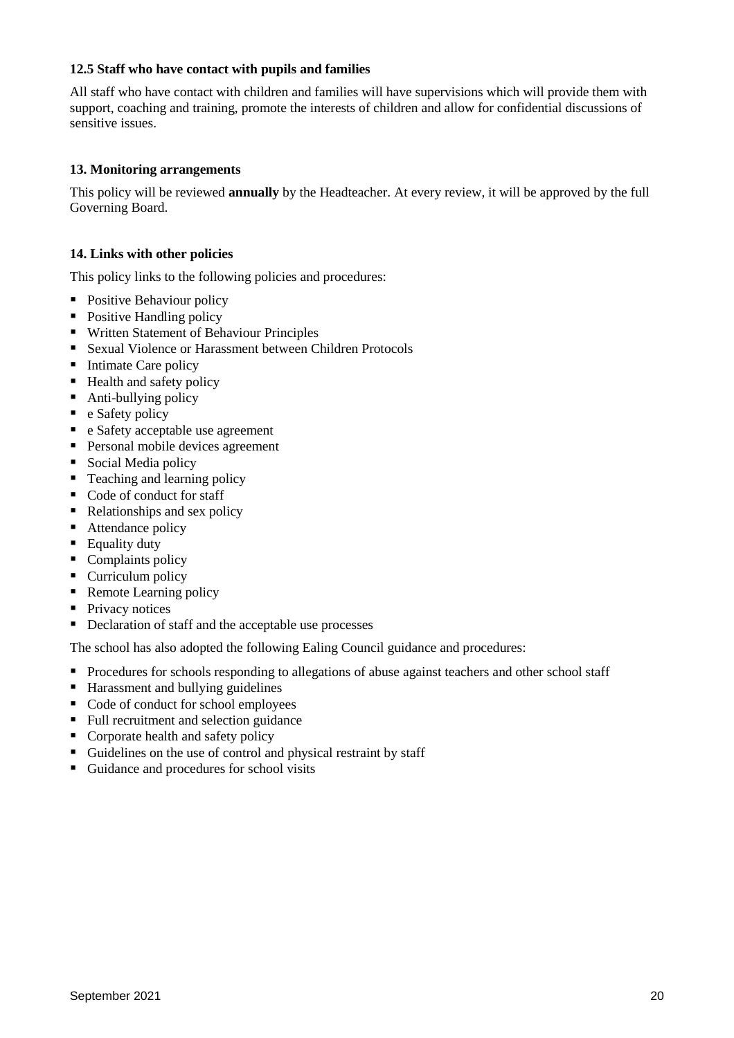## **12.5 Staff who have contact with pupils and families**

All staff who have contact with children and families will have supervisions which will provide them with support, coaching and training, promote the interests of children and allow for confidential discussions of sensitive issues.

## **13. Monitoring arrangements**

This policy will be reviewed **annually** by the Headteacher. At every review, it will be approved by the full Governing Board.

## **14. Links with other policies**

This policy links to the following policies and procedures:

- Positive Behaviour policy
- Positive Handling policy
- Written Statement of Behaviour Principles
- Sexual Violence or Harassment between Children Protocols
- Intimate Care policy
- Health and safety policy
- Anti-bullying policy
- $\bullet$  e Safety policy
- e Safety acceptable use agreement
- Personal mobile devices agreement
- Social Media policy
- Teaching and learning policy
- Code of conduct for staff
- Relationships and sex policy
- Attendance policy
- Equality duty
- $\blacksquare$  Complaints policy
- Curriculum policy
- Remote Learning policy
- **Privacy notices**
- Declaration of staff and the acceptable use processes

The school has also adopted the following Ealing Council guidance and procedures:

- **Procedures for schools responding to allegations of abuse against teachers and other school staff**
- Harassment and bullying guidelines
- Code of conduct for school employees
- Full recruitment and selection guidance
- Corporate health and safety policy
- Guidelines on the use of control and physical restraint by staff
- Guidance and procedures for school visits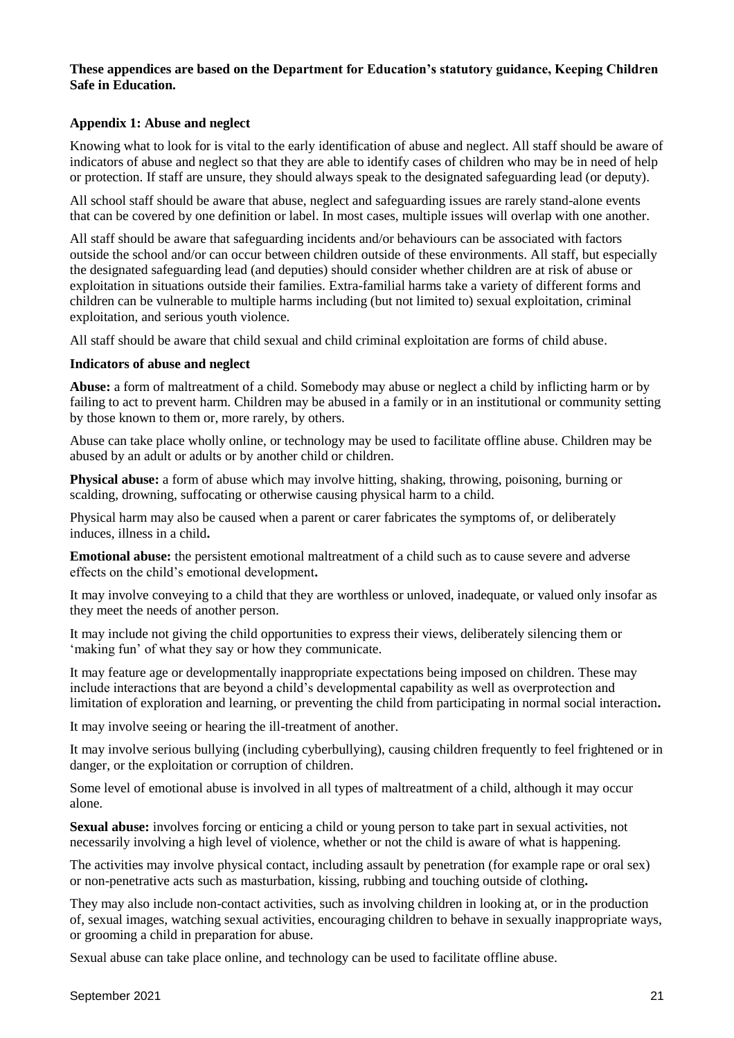## **These appendices are based on the Department for Education's statutory guidance, Keeping Children Safe in Education.**

## **Appendix 1: Abuse and neglect**

Knowing what to look for is vital to the early identification of abuse and neglect. All staff should be aware of indicators of abuse and neglect so that they are able to identify cases of children who may be in need of help or protection. If staff are unsure, they should always speak to the designated safeguarding lead (or deputy).

All school staff should be aware that abuse, neglect and safeguarding issues are rarely stand-alone events that can be covered by one definition or label. In most cases, multiple issues will overlap with one another.

All staff should be aware that safeguarding incidents and/or behaviours can be associated with factors outside the school and/or can occur between children outside of these environments. All staff, but especially the designated safeguarding lead (and deputies) should consider whether children are at risk of abuse or exploitation in situations outside their families. Extra-familial harms take a variety of different forms and children can be vulnerable to multiple harms including (but not limited to) sexual exploitation, criminal exploitation, and serious youth violence.

All staff should be aware that child sexual and child criminal exploitation are forms of child abuse.

## **Indicators of abuse and neglect**

**Abuse:** a form of maltreatment of a child. Somebody may abuse or neglect a child by inflicting harm or by failing to act to prevent harm. Children may be abused in a family or in an institutional or community setting by those known to them or, more rarely, by others.

Abuse can take place wholly online, or technology may be used to facilitate offline abuse. Children may be abused by an adult or adults or by another child or children.

**Physical abuse:** a form of abuse which may involve hitting, shaking, throwing, poisoning, burning or scalding, drowning, suffocating or otherwise causing physical harm to a child.

Physical harm may also be caused when a parent or carer fabricates the symptoms of, or deliberately induces, illness in a child**.** 

**Emotional abuse:** the persistent emotional maltreatment of a child such as to cause severe and adverse effects on the child's emotional development**.** 

It may involve conveying to a child that they are worthless or unloved, inadequate, or valued only insofar as they meet the needs of another person.

It may include not giving the child opportunities to express their views, deliberately silencing them or 'making fun' of what they say or how they communicate.

It may feature age or developmentally inappropriate expectations being imposed on children. These may include interactions that are beyond a child's developmental capability as well as overprotection and limitation of exploration and learning, or preventing the child from participating in normal social interaction**.** 

It may involve seeing or hearing the ill-treatment of another.

It may involve serious bullying (including cyberbullying), causing children frequently to feel frightened or in danger, or the exploitation or corruption of children.

Some level of emotional abuse is involved in all types of maltreatment of a child, although it may occur alone.

**Sexual abuse:** involves forcing or enticing a child or young person to take part in sexual activities, not necessarily involving a high level of violence, whether or not the child is aware of what is happening.

The activities may involve physical contact, including assault by penetration (for example rape or oral sex) or non-penetrative acts such as masturbation, kissing, rubbing and touching outside of clothing**.** 

They may also include non-contact activities, such as involving children in looking at, or in the production of, sexual images, watching sexual activities, encouraging children to behave in sexually inappropriate ways, or grooming a child in preparation for abuse.

Sexual abuse can take place online, and technology can be used to facilitate offline abuse.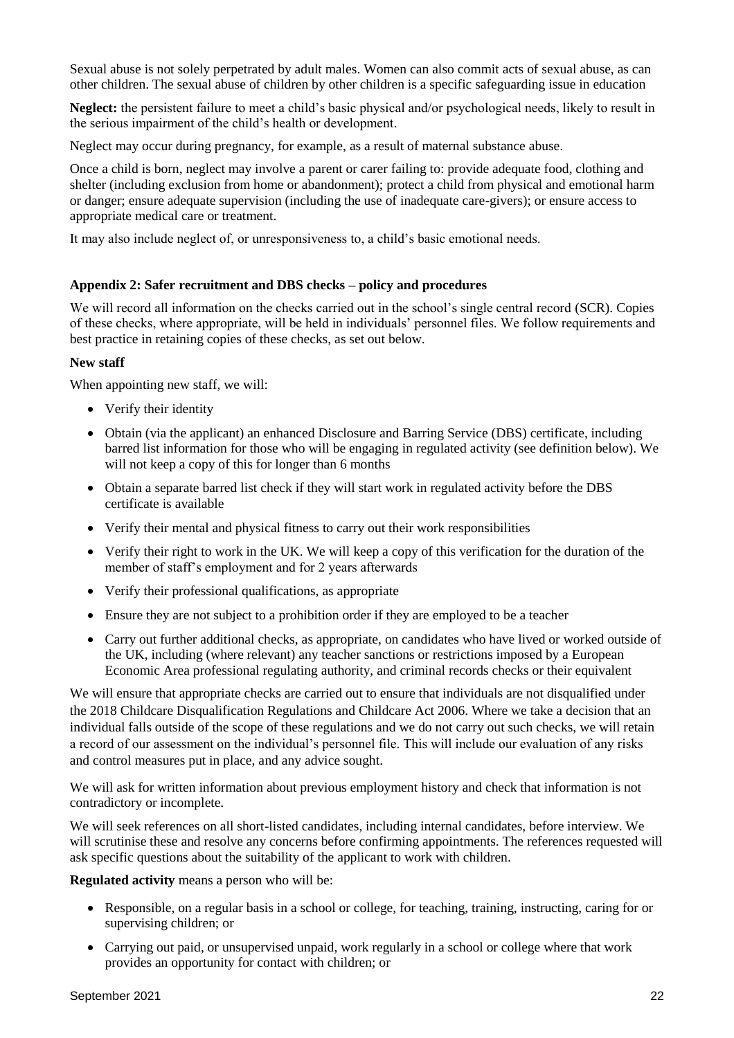Sexual abuse is not solely perpetrated by adult males. Women can also commit acts of sexual abuse, as can other children. The sexual abuse of children by other children is a specific safeguarding issue in education

**Neglect:** the persistent failure to meet a child's basic physical and/or psychological needs, likely to result in the serious impairment of the child's health or development.

Neglect may occur during pregnancy, for example, as a result of maternal substance abuse.

Once a child is born, neglect may involve a parent or carer failing to: provide adequate food, clothing and shelter (including exclusion from home or abandonment); protect a child from physical and emotional harm or danger; ensure adequate supervision (including the use of inadequate care-givers); or ensure access to appropriate medical care or treatment.

It may also include neglect of, or unresponsiveness to, a child's basic emotional needs.

#### **Appendix 2: Safer recruitment and DBS checks – policy and procedures**

We will record all information on the checks carried out in the school's single central record (SCR). Copies of these checks, where appropriate, will be held in individuals' personnel files. We follow requirements and best practice in retaining copies of these checks, as set out below.

#### **New staff**

When appointing new staff, we will:

- Verify their identity
- Obtain (via the applicant) an enhanced Disclosure and Barring Service (DBS) certificate, including barred list information for those who will be engaging in regulated activity (see definition below). We will not keep a copy of this for longer than 6 months
- Obtain a separate barred list check if they will start work in regulated activity before the DBS certificate is available
- Verify their mental and physical fitness to carry out their work responsibilities
- Verify their right to work in the UK. We will keep a copy of this verification for the duration of the member of staff's employment and for 2 years afterwards
- Verify their professional qualifications, as appropriate
- Ensure they are not subject to a prohibition order if they are employed to be a teacher
- Carry out further additional checks, as appropriate, on candidates who have lived or worked outside of the UK, including (where relevant) any teacher sanctions or restrictions imposed by a European Economic Area professional regulating authority, and criminal records checks or their equivalent

We will ensure that appropriate checks are carried out to ensure that individuals are not disqualified under the 2018 Childcare Disqualification Regulations and Childcare Act 2006. Where we take a decision that an individual falls outside of the scope of these regulations and we do not carry out such checks, we will retain a record of our assessment on the individual's personnel file. This will include our evaluation of any risks and control measures put in place, and any advice sought.

We will ask for written information about previous employment history and check that information is not contradictory or incomplete.

We will seek references on all short-listed candidates, including internal candidates, before interview. We will scrutinise these and resolve any concerns before confirming appointments. The references requested will ask specific questions about the suitability of the applicant to work with children.

**Regulated activity** means a person who will be:

- Responsible, on a regular basis in a school or college, for teaching, training, instructing, caring for or supervising children; or
- Carrying out paid, or unsupervised unpaid, work regularly in a school or college where that work provides an opportunity for contact with children; or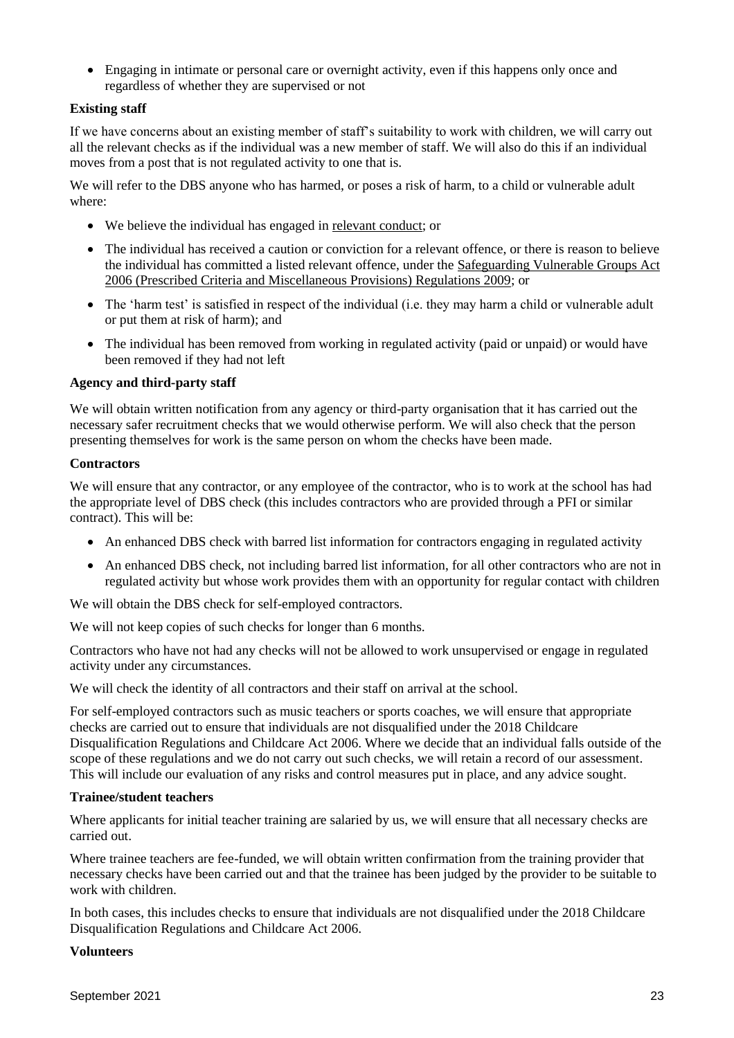Engaging in intimate or personal care or overnight activity, even if this happens only once and regardless of whether they are supervised or not

## **Existing staff**

If we have concerns about an existing member of staff's suitability to work with children, we will carry out all the relevant checks as if the individual was a new member of staff. We will also do this if an individual moves from a post that is not regulated activity to one that is.

We will refer to the DBS anyone who has harmed, or poses a risk of harm, to a child or vulnerable adult where:

- We believe the individual has engaged in [relevant conduct;](https://www.gov.uk/guidance/making-barring-referrals-to-the-dbs#relevant-conduct-in-relation-to-children) or
- The individual has received a caution or conviction for a relevant offence, or there is reason to believe the individual has committed a listed relevant offence, under the [Safeguarding Vulnerable Groups Act](http://www.legislation.gov.uk/uksi/2009/37/contents/made)  [2006 \(Prescribed Criteria and Miscellaneous Provisions\) Regulations 2009;](http://www.legislation.gov.uk/uksi/2009/37/contents/made) or
- The 'harm test' is satisfied in respect of the individual (i.e. they may harm a child or vulnerable adult or put them at risk of harm); and
- The individual has been removed from working in regulated activity (paid or unpaid) or would have been removed if they had not left

## **Agency and third-party staff**

We will obtain written notification from any agency or third-party organisation that it has carried out the necessary safer recruitment checks that we would otherwise perform. We will also check that the person presenting themselves for work is the same person on whom the checks have been made.

## **Contractors**

We will ensure that any contractor, or any employee of the contractor, who is to work at the school has had the appropriate level of DBS check (this includes contractors who are provided through a PFI or similar contract). This will be:

- An enhanced DBS check with barred list information for contractors engaging in regulated activity
- An enhanced DBS check, not including barred list information, for all other contractors who are not in regulated activity but whose work provides them with an opportunity for regular contact with children

We will obtain the DBS check for self-employed contractors.

We will not keep copies of such checks for longer than 6 months.

Contractors who have not had any checks will not be allowed to work unsupervised or engage in regulated activity under any circumstances.

We will check the identity of all contractors and their staff on arrival at the school.

For self-employed contractors such as music teachers or sports coaches, we will ensure that appropriate checks are carried out to ensure that individuals are not disqualified under the 2018 Childcare Disqualification Regulations and Childcare Act 2006. Where we decide that an individual falls outside of the scope of these regulations and we do not carry out such checks, we will retain a record of our assessment. This will include our evaluation of any risks and control measures put in place, and any advice sought.

#### **Trainee/student teachers**

Where applicants for initial teacher training are salaried by us, we will ensure that all necessary checks are carried out.

Where trainee teachers are fee-funded, we will obtain written confirmation from the training provider that necessary checks have been carried out and that the trainee has been judged by the provider to be suitable to work with children.

In both cases, this includes checks to ensure that individuals are not disqualified under the 2018 Childcare Disqualification Regulations and Childcare Act 2006.

#### **Volunteers**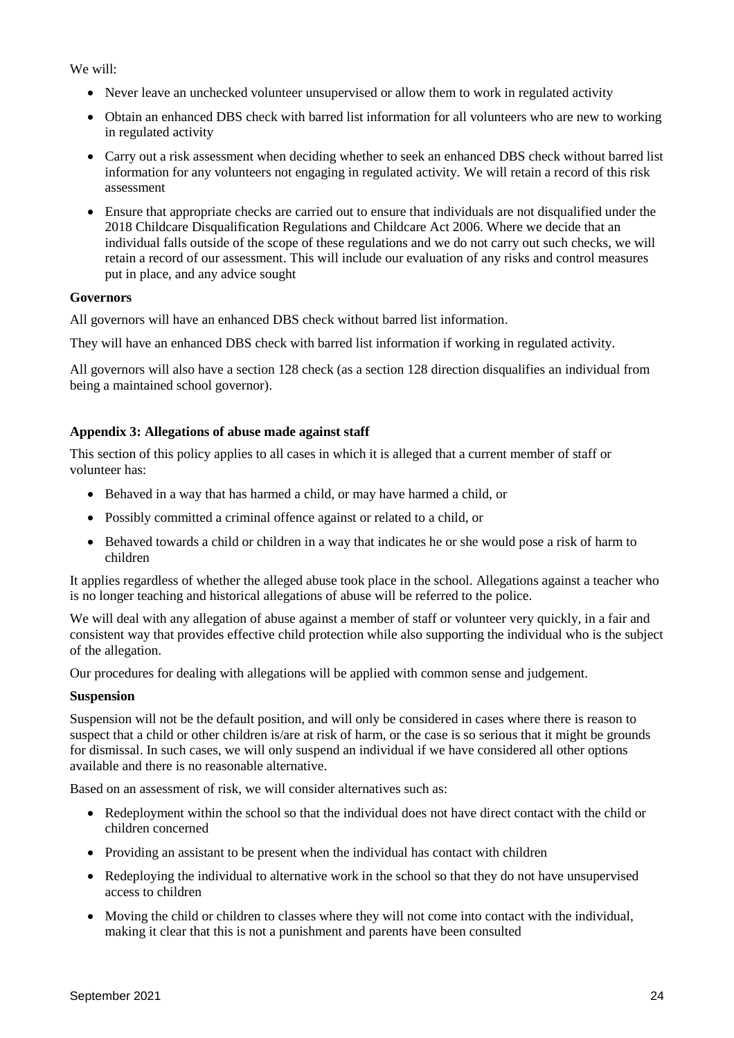We will:

- Never leave an unchecked volunteer unsupervised or allow them to work in regulated activity
- Obtain an enhanced DBS check with barred list information for all volunteers who are new to working in regulated activity
- Carry out a risk assessment when deciding whether to seek an enhanced DBS check without barred list information for any volunteers not engaging in regulated activity. We will retain a record of this risk assessment
- Ensure that appropriate checks are carried out to ensure that individuals are not disqualified under the 2018 Childcare Disqualification Regulations and Childcare Act 2006. Where we decide that an individual falls outside of the scope of these regulations and we do not carry out such checks, we will retain a record of our assessment. This will include our evaluation of any risks and control measures put in place, and any advice sought

## **Governors**

All governors will have an enhanced DBS check without barred list information.

They will have an enhanced DBS check with barred list information if working in regulated activity.

All governors will also have a section 128 check (as a section 128 direction disqualifies an individual from being a maintained school governor).

## **Appendix 3: Allegations of abuse made against staff**

This section of this policy applies to all cases in which it is alleged that a current member of staff or volunteer has:

- Behaved in a way that has harmed a child, or may have harmed a child, or
- Possibly committed a criminal offence against or related to a child, or
- Behaved towards a child or children in a way that indicates he or she would pose a risk of harm to children

It applies regardless of whether the alleged abuse took place in the school. Allegations against a teacher who is no longer teaching and historical allegations of abuse will be referred to the police.

We will deal with any allegation of abuse against a member of staff or volunteer very quickly, in a fair and consistent way that provides effective child protection while also supporting the individual who is the subject of the allegation.

Our procedures for dealing with allegations will be applied with common sense and judgement.

#### **Suspension**

Suspension will not be the default position, and will only be considered in cases where there is reason to suspect that a child or other children is/are at risk of harm, or the case is so serious that it might be grounds for dismissal. In such cases, we will only suspend an individual if we have considered all other options available and there is no reasonable alternative.

Based on an assessment of risk, we will consider alternatives such as:

- Redeployment within the school so that the individual does not have direct contact with the child or children concerned
- Providing an assistant to be present when the individual has contact with children
- Redeploying the individual to alternative work in the school so that they do not have unsupervised access to children
- Moving the child or children to classes where they will not come into contact with the individual, making it clear that this is not a punishment and parents have been consulted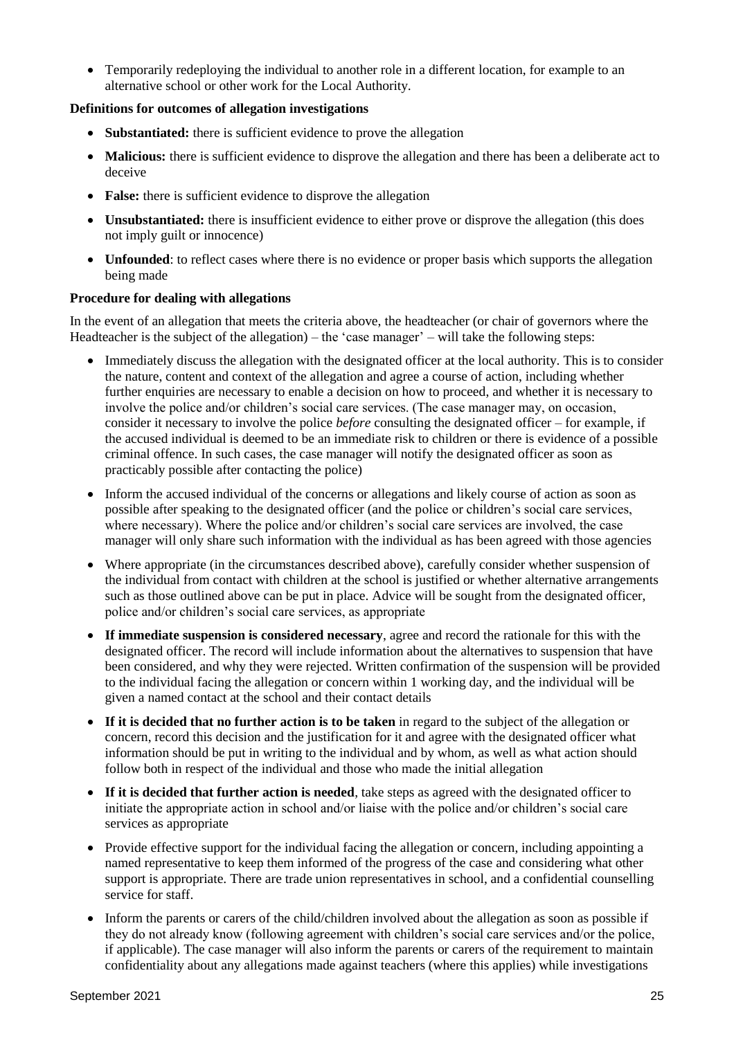Temporarily redeploying the individual to another role in a different location, for example to an alternative school or other work for the Local Authority.

## **Definitions for outcomes of allegation investigations**

- **Substantiated:** there is sufficient evidence to prove the allegation
- **Malicious:** there is sufficient evidence to disprove the allegation and there has been a deliberate act to deceive
- **False:** there is sufficient evidence to disprove the allegation
- **Unsubstantiated:** there is insufficient evidence to either prove or disprove the allegation (this does not imply guilt or innocence)
- **Unfounded**: to reflect cases where there is no evidence or proper basis which supports the allegation being made

## **Procedure for dealing with allegations**

In the event of an allegation that meets the criteria above, the headteacher (or chair of governors where the Headteacher is the subject of the allegation) – the 'case manager' – will take the following steps:

- Immediately discuss the allegation with the designated officer at the local authority. This is to consider the nature, content and context of the allegation and agree a course of action, including whether further enquiries are necessary to enable a decision on how to proceed, and whether it is necessary to involve the police and/or children's social care services. (The case manager may, on occasion, consider it necessary to involve the police *before* consulting the designated officer – for example, if the accused individual is deemed to be an immediate risk to children or there is evidence of a possible criminal offence. In such cases, the case manager will notify the designated officer as soon as practicably possible after contacting the police)
- Inform the accused individual of the concerns or allegations and likely course of action as soon as possible after speaking to the designated officer (and the police or children's social care services, where necessary). Where the police and/or children's social care services are involved, the case manager will only share such information with the individual as has been agreed with those agencies
- Where appropriate (in the circumstances described above), carefully consider whether suspension of the individual from contact with children at the school is justified or whether alternative arrangements such as those outlined above can be put in place. Advice will be sought from the designated officer, police and/or children's social care services, as appropriate
- **If immediate suspension is considered necessary**, agree and record the rationale for this with the designated officer. The record will include information about the alternatives to suspension that have been considered, and why they were rejected. Written confirmation of the suspension will be provided to the individual facing the allegation or concern within 1 working day, and the individual will be given a named contact at the school and their contact details
- **If it is decided that no further action is to be taken** in regard to the subject of the allegation or concern, record this decision and the justification for it and agree with the designated officer what information should be put in writing to the individual and by whom, as well as what action should follow both in respect of the individual and those who made the initial allegation
- **If it is decided that further action is needed**, take steps as agreed with the designated officer to initiate the appropriate action in school and/or liaise with the police and/or children's social care services as appropriate
- Provide effective support for the individual facing the allegation or concern, including appointing a named representative to keep them informed of the progress of the case and considering what other support is appropriate. There are trade union representatives in school, and a confidential counselling service for staff.
- Inform the parents or carers of the child/children involved about the allegation as soon as possible if they do not already know (following agreement with children's social care services and/or the police, if applicable). The case manager will also inform the parents or carers of the requirement to maintain confidentiality about any allegations made against teachers (where this applies) while investigations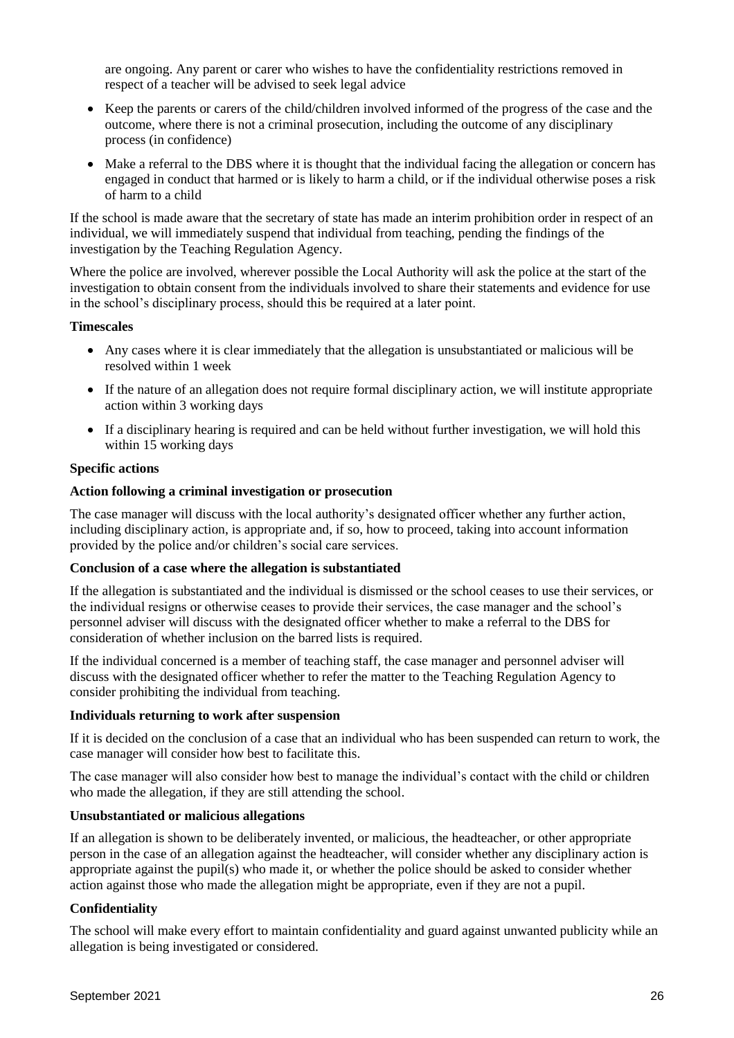are ongoing. Any parent or carer who wishes to have the confidentiality restrictions removed in respect of a teacher will be advised to seek legal advice

- Keep the parents or carers of the child/children involved informed of the progress of the case and the outcome, where there is not a criminal prosecution, including the outcome of any disciplinary process (in confidence)
- Make a referral to the DBS where it is thought that the individual facing the allegation or concern has engaged in conduct that harmed or is likely to harm a child, or if the individual otherwise poses a risk of harm to a child

If the school is made aware that the secretary of state has made an interim prohibition order in respect of an individual, we will immediately suspend that individual from teaching, pending the findings of the investigation by the Teaching Regulation Agency.

Where the police are involved, wherever possible the Local Authority will ask the police at the start of the investigation to obtain consent from the individuals involved to share their statements and evidence for use in the school's disciplinary process, should this be required at a later point.

#### **Timescales**

- Any cases where it is clear immediately that the allegation is unsubstantiated or malicious will be resolved within 1 week
- If the nature of an allegation does not require formal disciplinary action, we will institute appropriate action within 3 working days
- If a disciplinary hearing is required and can be held without further investigation, we will hold this within 15 working days

#### **Specific actions**

#### **Action following a criminal investigation or prosecution**

The case manager will discuss with the local authority's designated officer whether any further action, including disciplinary action, is appropriate and, if so, how to proceed, taking into account information provided by the police and/or children's social care services.

#### **Conclusion of a case where the allegation is substantiated**

If the allegation is substantiated and the individual is dismissed or the school ceases to use their services, or the individual resigns or otherwise ceases to provide their services, the case manager and the school's personnel adviser will discuss with the designated officer whether to make a referral to the DBS for consideration of whether inclusion on the barred lists is required.

If the individual concerned is a member of teaching staff, the case manager and personnel adviser will discuss with the designated officer whether to refer the matter to the Teaching Regulation Agency to consider prohibiting the individual from teaching.

#### **Individuals returning to work after suspension**

If it is decided on the conclusion of a case that an individual who has been suspended can return to work, the case manager will consider how best to facilitate this.

The case manager will also consider how best to manage the individual's contact with the child or children who made the allegation, if they are still attending the school.

## **Unsubstantiated or malicious allegations**

If an allegation is shown to be deliberately invented, or malicious, the headteacher, or other appropriate person in the case of an allegation against the headteacher, will consider whether any disciplinary action is appropriate against the pupil(s) who made it, or whether the police should be asked to consider whether action against those who made the allegation might be appropriate, even if they are not a pupil.

#### **Confidentiality**

The school will make every effort to maintain confidentiality and guard against unwanted publicity while an allegation is being investigated or considered.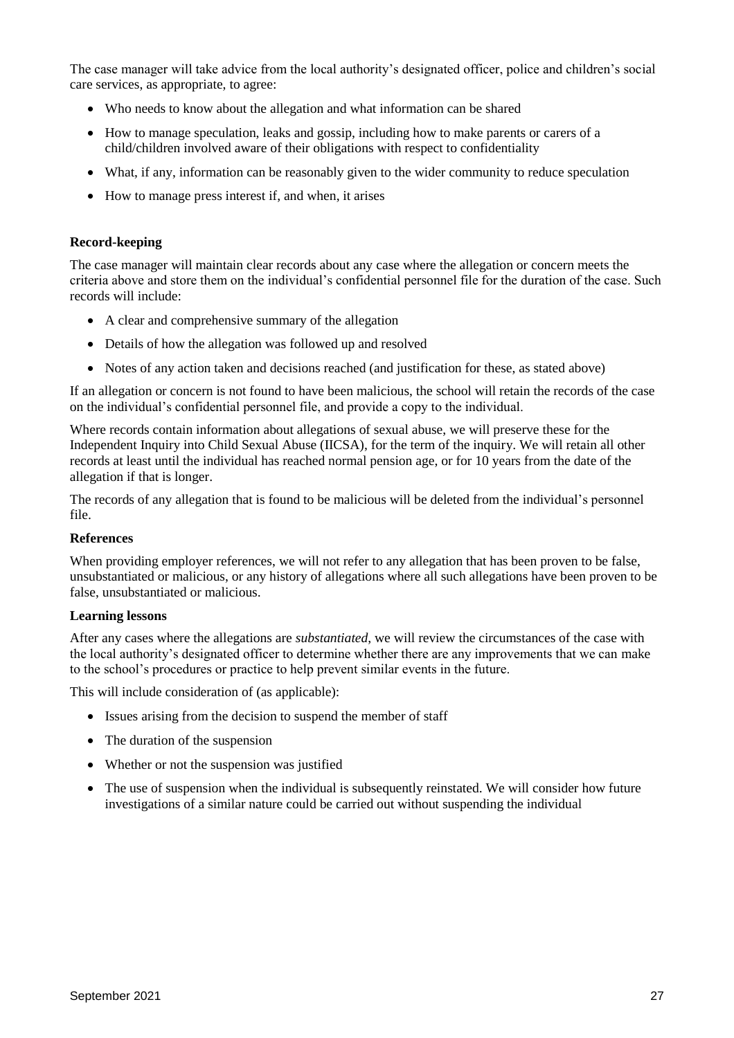The case manager will take advice from the local authority's designated officer, police and children's social care services, as appropriate, to agree:

- Who needs to know about the allegation and what information can be shared
- How to manage speculation, leaks and gossip, including how to make parents or carers of a child/children involved aware of their obligations with respect to confidentiality
- What, if any, information can be reasonably given to the wider community to reduce speculation
- How to manage press interest if, and when, it arises

#### **Record-keeping**

The case manager will maintain clear records about any case where the allegation or concern meets the criteria above and store them on the individual's confidential personnel file for the duration of the case. Such records will include:

- A clear and comprehensive summary of the allegation
- Details of how the allegation was followed up and resolved
- Notes of any action taken and decisions reached (and justification for these, as stated above)

If an allegation or concern is not found to have been malicious, the school will retain the records of the case on the individual's confidential personnel file, and provide a copy to the individual.

Where records contain information about allegations of sexual abuse, we will preserve these for the Independent Inquiry into Child Sexual Abuse (IICSA), for the term of the inquiry. We will retain all other records at least until the individual has reached normal pension age, or for 10 years from the date of the allegation if that is longer.

The records of any allegation that is found to be malicious will be deleted from the individual's personnel file.

#### **References**

When providing employer references, we will not refer to any allegation that has been proven to be false, unsubstantiated or malicious, or any history of allegations where all such allegations have been proven to be false, unsubstantiated or malicious.

#### **Learning lessons**

After any cases where the allegations are *substantiated*, we will review the circumstances of the case with the local authority's designated officer to determine whether there are any improvements that we can make to the school's procedures or practice to help prevent similar events in the future.

This will include consideration of (as applicable):

- Issues arising from the decision to suspend the member of staff
- The duration of the suspension
- Whether or not the suspension was justified
- The use of suspension when the individual is subsequently reinstated. We will consider how future investigations of a similar nature could be carried out without suspending the individual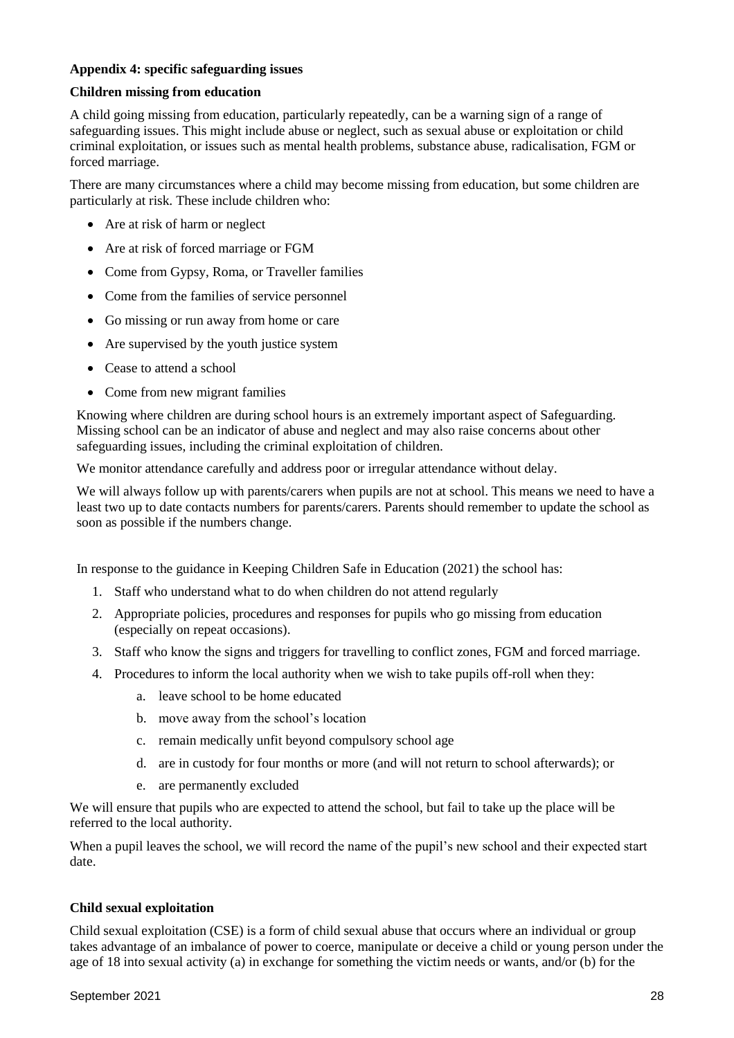## **Appendix 4: specific safeguarding issues**

## **Children missing from education**

A child going missing from education, particularly repeatedly, can be a warning sign of a range of safeguarding issues. This might include abuse or neglect, such as sexual abuse or exploitation or child criminal exploitation, or issues such as mental health problems, substance abuse, radicalisation, FGM or forced marriage.

There are many circumstances where a child may become missing from education, but some children are particularly at risk. These include children who:

- Are at risk of harm or neglect
- Are at risk of forced marriage or FGM
- Come from Gypsy, Roma, or Traveller families
- Come from the families of service personnel
- Go missing or run away from home or care
- Are supervised by the youth justice system
- Cease to attend a school
- Come from new migrant families

Knowing where children are during school hours is an extremely important aspect of Safeguarding. Missing school can be an indicator of abuse and neglect and may also raise concerns about other safeguarding issues, including the criminal exploitation of children.

We monitor attendance carefully and address poor or irregular attendance without delay.

We will always follow up with parents/carers when pupils are not at school. This means we need to have a least two up to date contacts numbers for parents/carers. Parents should remember to update the school as soon as possible if the numbers change.

In response to the guidance in Keeping Children Safe in Education (2021) the school has:

- 1. Staff who understand what to do when children do not attend regularly
- 2. Appropriate policies, procedures and responses for pupils who go missing from education (especially on repeat occasions).
- 3. Staff who know the signs and triggers for travelling to conflict zones, FGM and forced marriage.
- 4. Procedures to inform the local authority when we wish to take pupils off-roll when they:
	- a. leave school to be home educated
	- b. move away from the school's location
	- c. remain medically unfit beyond compulsory school age
	- d. are in custody for four months or more (and will not return to school afterwards); or
	- e. are permanently excluded

We will ensure that pupils who are expected to attend the school, but fail to take up the place will be referred to the local authority.

When a pupil leaves the school, we will record the name of the pupil's new school and their expected start date.

#### **Child sexual exploitation**

Child sexual exploitation (CSE) is a form of child sexual abuse that occurs where an individual or group takes advantage of an imbalance of power to coerce, manipulate or deceive a child or young person under the age of 18 into sexual activity (a) in exchange for something the victim needs or wants, and/or (b) for the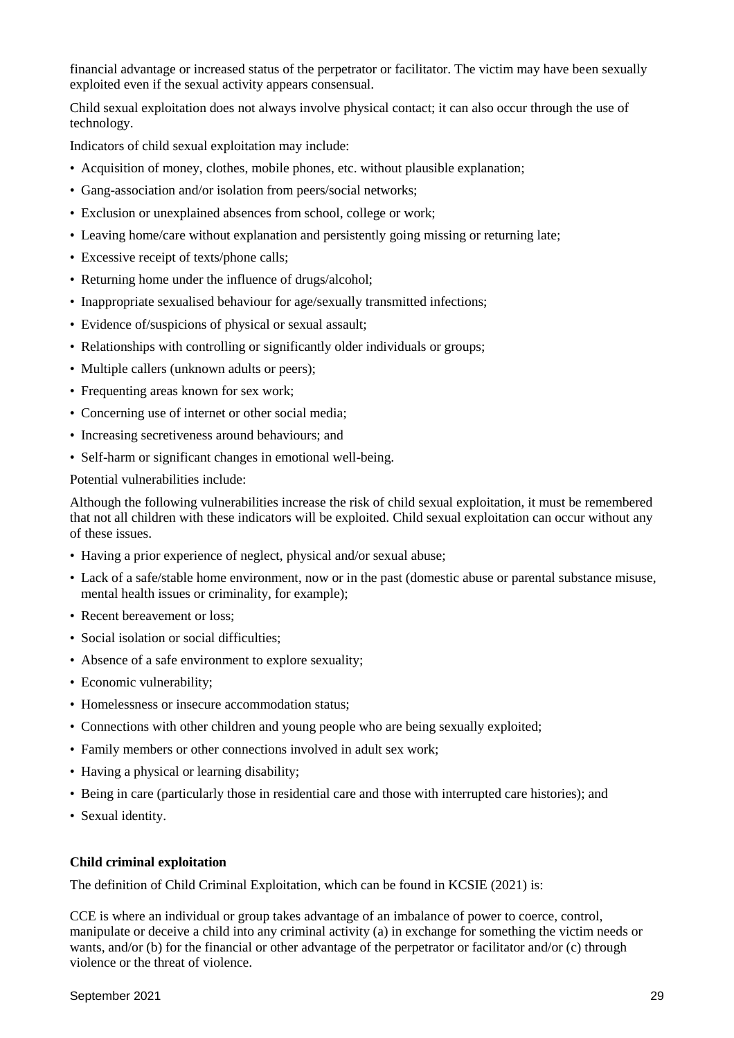financial advantage or increased status of the perpetrator or facilitator. The victim may have been sexually exploited even if the sexual activity appears consensual.

Child sexual exploitation does not always involve physical contact; it can also occur through the use of technology.

Indicators of child sexual exploitation may include:

- Acquisition of money, clothes, mobile phones, etc. without plausible explanation;
- Gang-association and/or isolation from peers/social networks;
- Exclusion or unexplained absences from school, college or work;
- Leaving home/care without explanation and persistently going missing or returning late;
- Excessive receipt of texts/phone calls;
- Returning home under the influence of drugs/alcohol;
- Inappropriate sexualised behaviour for age/sexually transmitted infections;
- Evidence of/suspicions of physical or sexual assault;
- Relationships with controlling or significantly older individuals or groups;
- Multiple callers (unknown adults or peers);
- Frequenting areas known for sex work;
- Concerning use of internet or other social media;
- Increasing secretiveness around behaviours; and
- Self-harm or significant changes in emotional well-being.

Potential vulnerabilities include:

Although the following vulnerabilities increase the risk of child sexual exploitation, it must be remembered that not all children with these indicators will be exploited. Child sexual exploitation can occur without any of these issues.

- Having a prior experience of neglect, physical and/or sexual abuse;
- Lack of a safe/stable home environment, now or in the past (domestic abuse or parental substance misuse, mental health issues or criminality, for example);
- Recent bereavement or loss:
- Social isolation or social difficulties;
- Absence of a safe environment to explore sexuality;
- Economic vulnerability:
- Homelessness or insecure accommodation status;
- Connections with other children and young people who are being sexually exploited;
- Family members or other connections involved in adult sex work;
- Having a physical or learning disability;
- Being in care (particularly those in residential care and those with interrupted care histories); and
- Sexual identity.

#### **Child criminal exploitation**

The definition of Child Criminal Exploitation, which can be found in KCSIE (2021) is:

CCE is where an individual or group takes advantage of an imbalance of power to coerce, control, manipulate or deceive a child into any criminal activity (a) in exchange for something the victim needs or wants, and/or (b) for the financial or other advantage of the perpetrator or facilitator and/or (c) through violence or the threat of violence.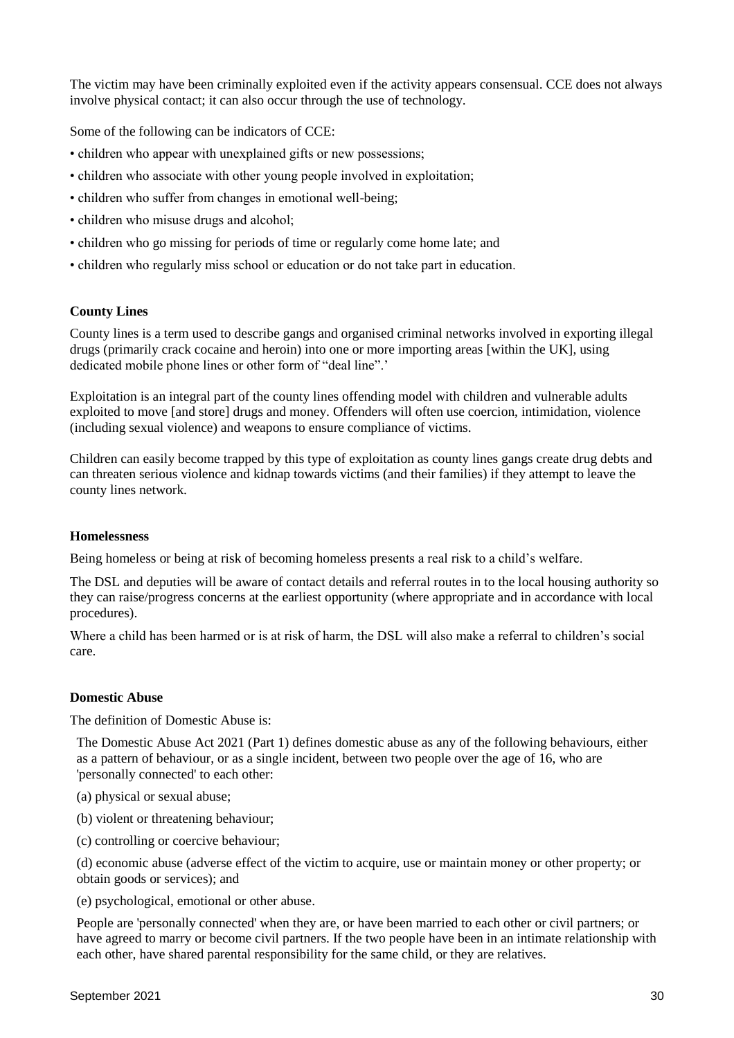The victim may have been criminally exploited even if the activity appears consensual. CCE does not always involve physical contact; it can also occur through the use of technology.

Some of the following can be indicators of CCE:

- children who appear with unexplained gifts or new possessions;
- children who associate with other young people involved in exploitation;
- children who suffer from changes in emotional well-being;
- children who misuse drugs and alcohol;
- children who go missing for periods of time or regularly come home late; and
- children who regularly miss school or education or do not take part in education.

## **County Lines**

County lines is a term used to describe gangs and organised criminal networks involved in exporting illegal drugs (primarily crack cocaine and heroin) into one or more importing areas [within the UK], using dedicated mobile phone lines or other form of "deal line".'

Exploitation is an integral part of the county lines offending model with children and vulnerable adults exploited to move [and store] drugs and money. Offenders will often use coercion, intimidation, violence (including sexual violence) and weapons to ensure compliance of victims.

Children can easily become trapped by this type of exploitation as county lines gangs create drug debts and can threaten serious violence and kidnap towards victims (and their families) if they attempt to leave the county lines network.

#### **Homelessness**

Being homeless or being at risk of becoming homeless presents a real risk to a child's welfare.

The DSL and deputies will be aware of contact details and referral routes in to the local housing authority so they can raise/progress concerns at the earliest opportunity (where appropriate and in accordance with local procedures).

Where a child has been harmed or is at risk of harm, the DSL will also make a referral to children's social care.

#### **Domestic Abuse**

The definition of Domestic Abuse is:

The Domestic Abuse Act 2021 (Part 1) defines domestic abuse as any of the following behaviours, either as a pattern of behaviour, or as a single incident, between two people over the age of 16, who are 'personally connected' to each other:

- (a) physical or sexual abuse;
- (b) violent or threatening behaviour;
- (c) controlling or coercive behaviour;

(d) economic abuse (adverse effect of the victim to acquire, use or maintain money or other property; or obtain goods or services); and

(e) psychological, emotional or other abuse.

People are 'personally connected' when they are, or have been married to each other or civil partners; or have agreed to marry or become civil partners. If the two people have been in an intimate relationship with each other, have shared parental responsibility for the same child, or they are relatives.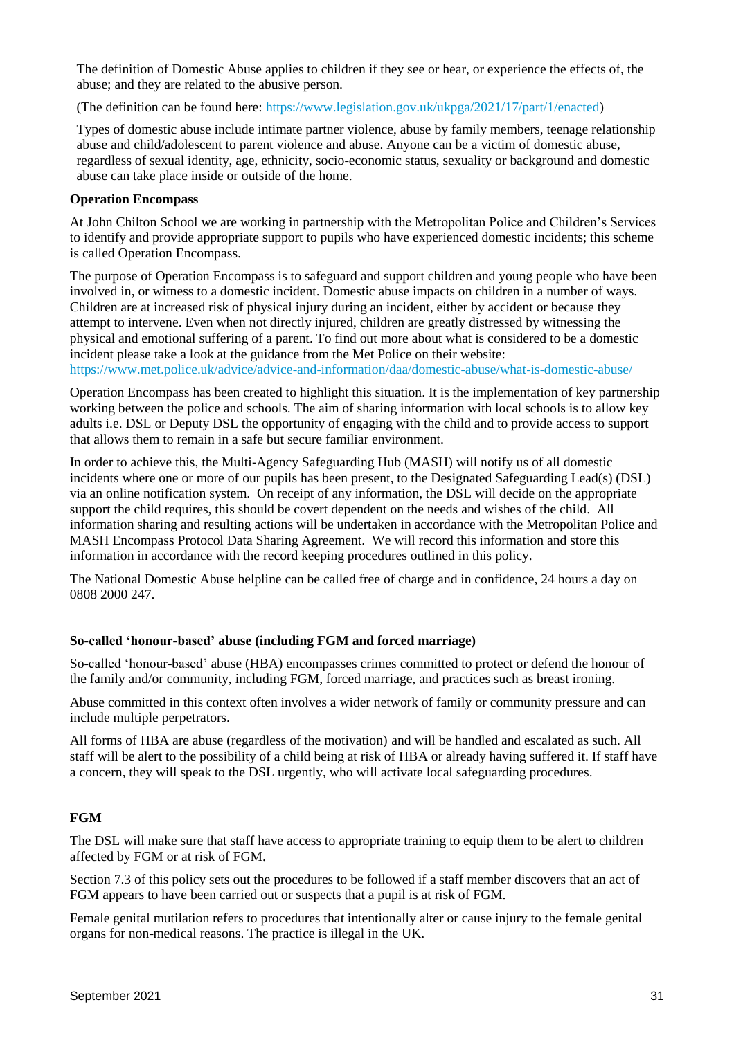The definition of Domestic Abuse applies to children if they see or hear, or experience the effects of, the abuse; and they are related to the abusive person.

(The definition can be found here: [https://www.legislation.gov.uk/ukpga/2021/17/part/1/enacted\)](https://www.legislation.gov.uk/ukpga/2021/17/part/1/enacted)

Types of domestic abuse include intimate partner violence, abuse by family members, teenage relationship abuse and child/adolescent to parent violence and abuse. Anyone can be a victim of domestic abuse, regardless of sexual identity, age, ethnicity, socio-economic status, sexuality or background and domestic abuse can take place inside or outside of the home.

#### **Operation Encompass**

At John Chilton School we are working in partnership with the Metropolitan Police and Children's Services to identify and provide appropriate support to pupils who have experienced domestic incidents; this scheme is called Operation Encompass.

The purpose of Operation Encompass is to safeguard and support children and young people who have been involved in, or witness to a domestic incident. Domestic abuse impacts on children in a number of ways. Children are at increased risk of physical injury during an incident, either by accident or because they attempt to intervene. Even when not directly injured, children are greatly distressed by witnessing the physical and emotional suffering of a parent. To find out more about what is considered to be a domestic incident please take a look at the guidance from the Met Police on their website: <https://www.met.police.uk/advice/advice-and-information/daa/domestic-abuse/what-is-domestic-abuse/>

Operation Encompass has been created to highlight this situation. It is the implementation of key partnership working between the police and schools. The aim of sharing information with local schools is to allow key adults i.e. DSL or Deputy DSL the opportunity of engaging with the child and to provide access to support that allows them to remain in a safe but secure familiar environment.

In order to achieve this, the Multi-Agency Safeguarding Hub (MASH) will notify us of all domestic incidents where one or more of our pupils has been present, to the Designated Safeguarding Lead(s) (DSL) via an online notification system. On receipt of any information, the DSL will decide on the appropriate support the child requires, this should be covert dependent on the needs and wishes of the child. All information sharing and resulting actions will be undertaken in accordance with the Metropolitan Police and MASH Encompass Protocol Data Sharing Agreement. We will record this information and store this information in accordance with the record keeping procedures outlined in this policy.

The National Domestic Abuse helpline can be called free of charge and in confidence, 24 hours a day on 0808 2000 247.

#### **So-called 'honour-based' abuse (including FGM and forced marriage)**

So-called 'honour-based' abuse (HBA) encompasses crimes committed to protect or defend the honour of the family and/or community, including FGM, forced marriage, and practices such as breast ironing.

Abuse committed in this context often involves a wider network of family or community pressure and can include multiple perpetrators.

All forms of HBA are abuse (regardless of the motivation) and will be handled and escalated as such. All staff will be alert to the possibility of a child being at risk of HBA or already having suffered it. If staff have a concern, they will speak to the DSL urgently, who will activate local safeguarding procedures.

## **FGM**

The DSL will make sure that staff have access to appropriate training to equip them to be alert to children affected by FGM or at risk of FGM.

Section 7.3 of this policy sets out the procedures to be followed if a staff member discovers that an act of FGM appears to have been carried out or suspects that a pupil is at risk of FGM.

Female genital mutilation refers to procedures that intentionally alter or cause injury to the female genital organs for non-medical reasons. The practice is illegal in the UK.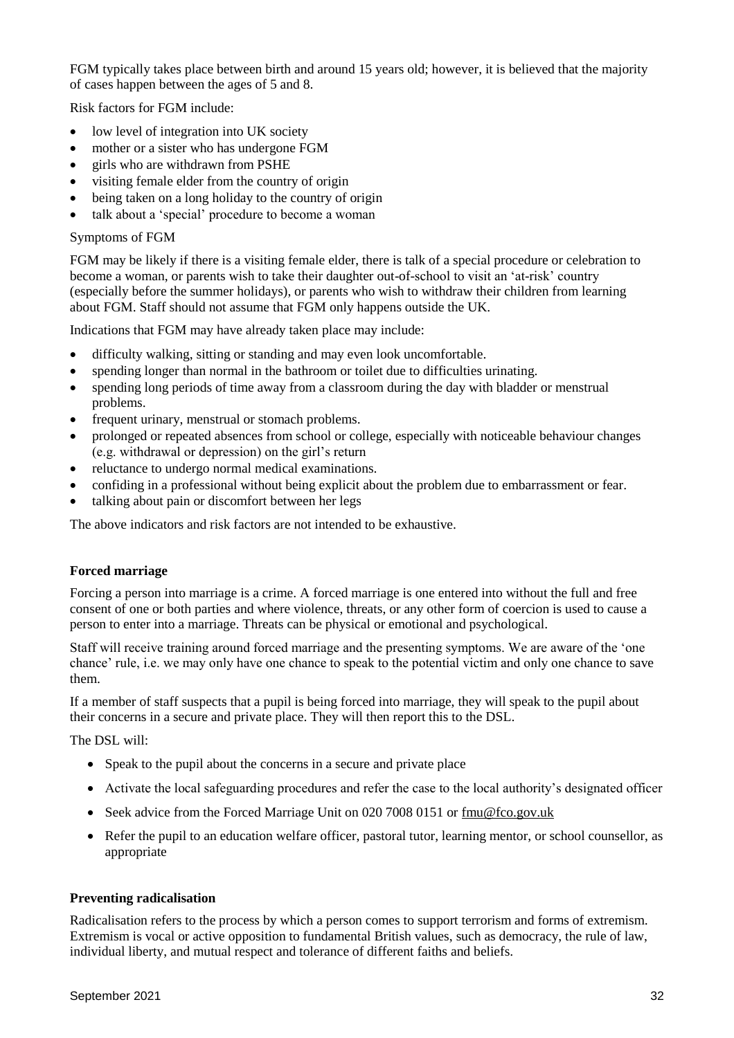FGM typically takes place between birth and around 15 years old; however, it is believed that the majority of cases happen between the ages of 5 and 8.

Risk factors for FGM include:

- low level of integration into UK society
- mother or a sister who has undergone FGM
- girls who are withdrawn from PSHE
- visiting female elder from the country of origin
- being taken on a long holiday to the country of origin
- talk about a 'special' procedure to become a woman

#### Symptoms of FGM

FGM may be likely if there is a visiting female elder, there is talk of a special procedure or celebration to become a woman, or parents wish to take their daughter out-of-school to visit an 'at-risk' country (especially before the summer holidays), or parents who wish to withdraw their children from learning about FGM. Staff should not assume that FGM only happens outside the UK.

Indications that FGM may have already taken place may include:

- difficulty walking, sitting or standing and may even look uncomfortable.
- spending longer than normal in the bathroom or toilet due to difficulties urinating.
- spending long periods of time away from a classroom during the day with bladder or menstrual problems.
- frequent urinary, menstrual or stomach problems.
- prolonged or repeated absences from school or college, especially with noticeable behaviour changes (e.g. withdrawal or depression) on the girl's return
- reluctance to undergo normal medical examinations.
- confiding in a professional without being explicit about the problem due to embarrassment or fear.
- talking about pain or discomfort between her legs

The above indicators and risk factors are not intended to be exhaustive.

#### **Forced marriage**

Forcing a person into marriage is a crime. A forced marriage is one entered into without the full and free consent of one or both parties and where violence, threats, or any other form of coercion is used to cause a person to enter into a marriage. Threats can be physical or emotional and psychological.

Staff will receive training around forced marriage and the presenting symptoms. We are aware of the 'one chance' rule, i.e. we may only have one chance to speak to the potential victim and only one chance to save them.

If a member of staff suspects that a pupil is being forced into marriage, they will speak to the pupil about their concerns in a secure and private place. They will then report this to the DSL.

The DSL will:

- Speak to the pupil about the concerns in a secure and private place
- Activate the local safeguarding procedures and refer the case to the local authority's designated officer
- Seek advice from the Forced Marriage Unit on 020 7008 0151 or [fmu@fco.gov.uk](mailto:fmu@fco.gov.uk)
- Refer the pupil to an education welfare officer, pastoral tutor, learning mentor, or school counsellor, as appropriate

#### **Preventing radicalisation**

Radicalisation refers to the process by which a person comes to support terrorism and forms of extremism. Extremism is vocal or active opposition to fundamental British values, such as democracy, the rule of law, individual liberty, and mutual respect and tolerance of different faiths and beliefs.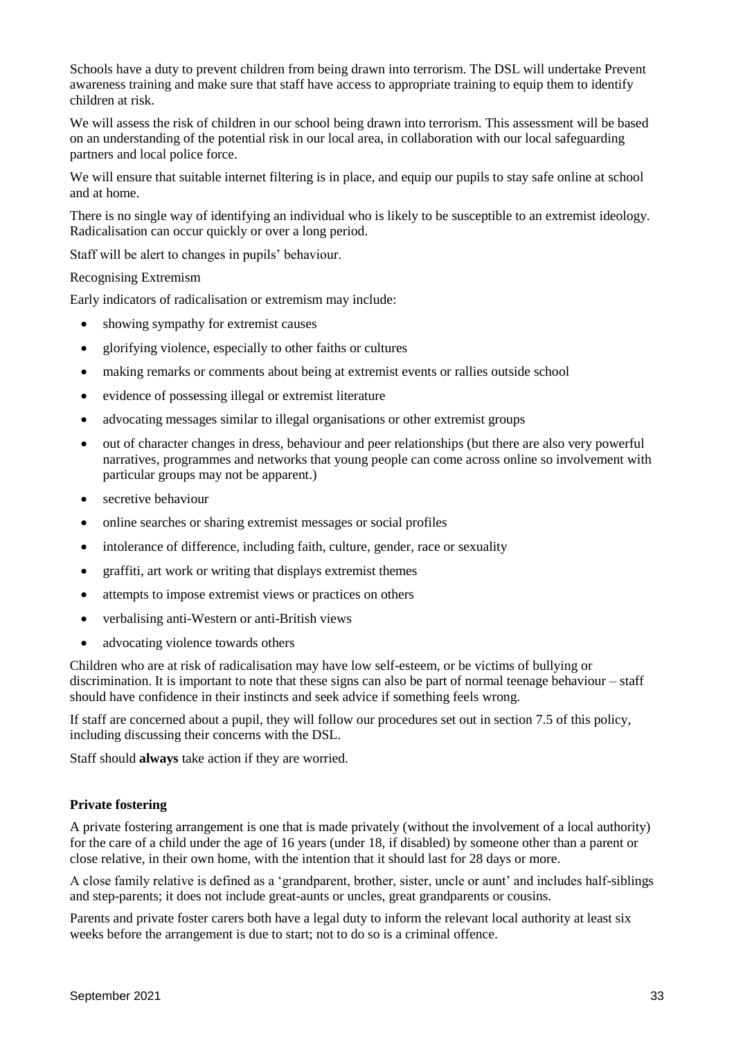Schools have a duty to prevent children from being drawn into terrorism. The DSL will undertake Prevent awareness training and make sure that staff have access to appropriate training to equip them to identify children at risk.

We will assess the risk of children in our school being drawn into terrorism. This assessment will be based on an understanding of the potential risk in our local area, in collaboration with our local safeguarding partners and local police force.

We will ensure that suitable internet filtering is in place, and equip our pupils to stay safe online at school and at home.

There is no single way of identifying an individual who is likely to be susceptible to an extremist ideology. Radicalisation can occur quickly or over a long period.

Staff will be alert to changes in pupils' behaviour.

#### Recognising Extremism

Early indicators of radicalisation or extremism may include:

- showing sympathy for extremist causes
- glorifying violence, especially to other faiths or cultures
- making remarks or comments about being at extremist events or rallies outside school
- evidence of possessing illegal or extremist literature
- advocating messages similar to illegal organisations or other extremist groups
- out of character changes in dress, behaviour and peer relationships (but there are also very powerful narratives, programmes and networks that young people can come across online so involvement with particular groups may not be apparent.)
- secretive behaviour
- online searches or sharing extremist messages or social profiles
- intolerance of difference, including faith, culture, gender, race or sexuality
- graffiti, art work or writing that displays extremist themes
- attempts to impose extremist views or practices on others
- verbalising anti-Western or anti-British views
- advocating violence towards others

Children who are at risk of radicalisation may have low self-esteem, or be victims of bullying or discrimination. It is important to note that these signs can also be part of normal teenage behaviour – staff should have confidence in their instincts and seek advice if something feels wrong.

If staff are concerned about a pupil, they will follow our procedures set out in section 7.5 of this policy, including discussing their concerns with the DSL.

Staff should **always** take action if they are worried.

#### **Private fostering**

A private fostering arrangement is one that is made privately (without the involvement of a local authority) for the care of a child under the age of 16 years (under 18, if disabled) by someone other than a parent or close relative, in their own home, with the intention that it should last for 28 days or more.

A close family relative is defined as a 'grandparent, brother, sister, uncle or aunt' and includes half-siblings and step-parents; it does not include great-aunts or uncles, great grandparents or cousins.

Parents and private foster carers both have a legal duty to inform the relevant local authority at least six weeks before the arrangement is due to start; not to do so is a criminal offence.